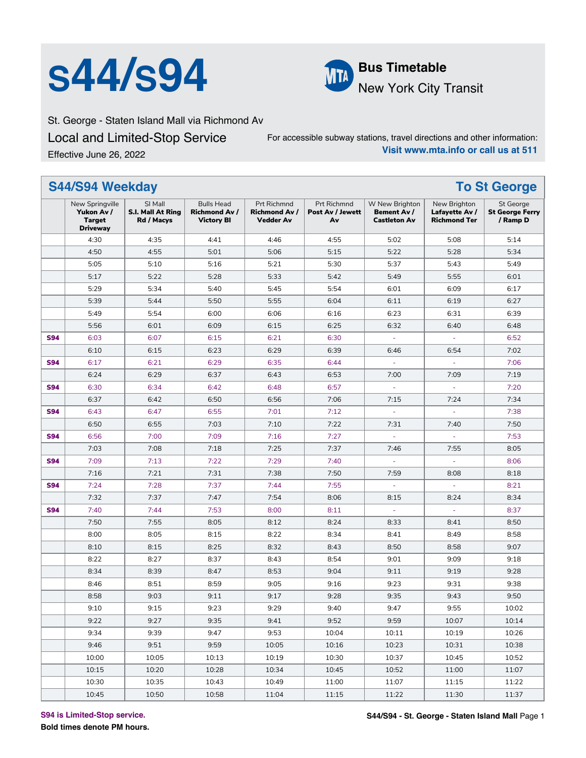# **S44/S94 Delay Pus Timetable**



New York City Transit

St. George - Staten Island Mall via Richmond Av

Local and Limited-Stop Service Effective June 26, 2022

For accessible subway stations, travel directions and other information: **Visit www.mta.info or call us at 511**

|            | <b>S44/S94 Weekday</b>                                     |                                                   |                                                               |                                                         |                                       |                                                      |                                                       | <b>To St George</b>                             |
|------------|------------------------------------------------------------|---------------------------------------------------|---------------------------------------------------------------|---------------------------------------------------------|---------------------------------------|------------------------------------------------------|-------------------------------------------------------|-------------------------------------------------|
|            | New Springville<br>Yukon Av /<br>Target<br><b>Driveway</b> | SI Mall<br><b>S.I. Mall At Ring</b><br>Rd / Macys | <b>Bulls Head</b><br><b>Richmond Av/</b><br><b>Victory BI</b> | Prt Richmnd<br><b>Richmond Av /</b><br><b>Vedder Av</b> | Prt Richmnd<br>Post Av / Jewett<br>Av | W New Brighton<br>Bement Av /<br><b>Castleton Av</b> | New Brighton<br>Lafayette Av /<br><b>Richmond Ter</b> | St George<br><b>St George Ferry</b><br>/ Ramp D |
|            | 4:30                                                       | 4:35                                              | 4:41                                                          | 4:46                                                    | 4:55                                  | 5:02                                                 | 5:08                                                  | 5:14                                            |
|            | 4:50                                                       | 4:55                                              | 5:01                                                          | 5:06                                                    | 5:15                                  | 5:22                                                 | 5:28                                                  | 5:34                                            |
|            | 5:05                                                       | 5:10                                              | 5:16                                                          | 5:21                                                    | 5:30                                  | 5:37                                                 | 5:43                                                  | 5:49                                            |
|            | 5:17                                                       | 5:22                                              | 5:28                                                          | 5:33                                                    | 5:42                                  | 5:49                                                 | 5:55                                                  | 6:01                                            |
|            | 5:29                                                       | 5:34                                              | 5:40                                                          | 5:45                                                    | 5:54                                  | 6:01                                                 | 6:09                                                  | 6:17                                            |
|            | 5:39                                                       | 5:44                                              | 5:50                                                          | 5:55                                                    | 6:04                                  | 6:11                                                 | 6:19                                                  | 6:27                                            |
|            | 5:49                                                       | 5:54                                              | 6:00                                                          | 6:06                                                    | 6:16                                  | 6:23                                                 | 6:31                                                  | 6:39                                            |
|            | 5:56                                                       | 6:01                                              | 6:09                                                          | 6:15                                                    | 6:25                                  | 6:32                                                 | 6:40                                                  | 6:48                                            |
| <b>S94</b> | 6:03                                                       | 6:07                                              | 6:15                                                          | 6:21                                                    | 6:30                                  | $\omega$                                             | $\omega$                                              | 6:52                                            |
|            | 6:10                                                       | 6:15                                              | 6:23                                                          | 6:29                                                    | 6:39                                  | 6:46                                                 | 6:54                                                  | 7:02                                            |
| <b>S94</b> | 6:17                                                       | 6:21                                              | 6:29                                                          | 6:35                                                    | 6:44                                  |                                                      |                                                       | 7:06                                            |
|            | 6:24                                                       | 6:29                                              | 6:37                                                          | 6:43                                                    | 6:53                                  | 7:00                                                 | 7:09                                                  | 7:19                                            |
| <b>S94</b> | 6:30                                                       | 6:34                                              | 6:42                                                          | 6:48                                                    | 6:57                                  | ÷                                                    | í,                                                    | 7:20                                            |
|            | 6:37                                                       | 6:42                                              | 6:50                                                          | 6:56                                                    | 7:06                                  | 7:15                                                 | 7:24                                                  | 7:34                                            |
| <b>S94</b> | 6:43                                                       | 6:47                                              | 6:55                                                          | 7:01                                                    | 7:12                                  | ä,                                                   | ä,                                                    | 7:38                                            |
|            | 6:50                                                       | 6:55                                              | 7:03                                                          | 7:10                                                    | 7:22                                  | 7:31                                                 | 7:40                                                  | 7:50                                            |
| <b>S94</b> | 6:56                                                       | 7:00                                              | 7:09                                                          | 7:16                                                    | 7:27                                  | ä,                                                   | $\bar{\phantom{a}}$                                   | 7:53                                            |
|            | 7:03                                                       | 7:08                                              | 7:18                                                          | 7:25                                                    | 7:37                                  | 7:46                                                 | 7:55                                                  | 8:05                                            |
| <b>S94</b> | 7:09                                                       | 7:13                                              | 7:22                                                          | 7:29                                                    | 7:40                                  |                                                      |                                                       | 8:06                                            |
|            | 7:16                                                       | 7:21                                              | 7:31                                                          | 7:38                                                    | 7:50                                  | 7:59                                                 | 8:08                                                  | 8:18                                            |
| <b>S94</b> | 7:24                                                       | 7:28                                              | 7:37                                                          | 7:44                                                    | 7:55                                  | ÷,                                                   | $\overline{\phantom{a}}$                              | 8:21                                            |
|            | 7:32                                                       | 7:37                                              | 7:47                                                          | 7:54                                                    | 8:06                                  | 8:15                                                 | 8:24                                                  | 8:34                                            |
| <b>S94</b> | 7:40                                                       | 7:44                                              | 7:53                                                          | 8:00                                                    | 8:11                                  | ä,                                                   | ÷.                                                    | 8:37                                            |
|            | 7:50                                                       | 7:55                                              | 8:05                                                          | 8:12                                                    | 8:24                                  | 8:33                                                 | 8:41                                                  | 8:50                                            |
|            | 8:00                                                       | 8:05                                              | 8:15                                                          | 8:22                                                    | 8:34                                  | 8:41                                                 | 8:49                                                  | 8:58                                            |
|            | 8:10                                                       | 8:15                                              | 8:25                                                          | 8:32                                                    | 8:43                                  | 8:50                                                 | 8:58                                                  | 9:07                                            |
|            | 8:22                                                       | 8:27                                              | 8:37                                                          | 8:43                                                    | 8:54                                  | 9:01                                                 | 9:09                                                  | 9:18                                            |
|            | 8:34                                                       | 8:39                                              | 8:47                                                          | 8:53                                                    | 9:04                                  | 9:11                                                 | 9:19                                                  | 9:28                                            |
|            | 8:46                                                       | 8:51                                              | 8:59                                                          | 9:05                                                    | 9:16                                  | 9:23                                                 | 9:31                                                  | 9:38                                            |
|            | 8:58                                                       | 9:03                                              | 9:11                                                          | 9:17                                                    | 9:28                                  | 9:35                                                 | 9:43                                                  | 9:50                                            |
|            | 9:10                                                       | 9:15                                              | 9:23                                                          | 9:29                                                    | 9:40                                  | 9:47                                                 | 9:55                                                  | 10:02                                           |
|            | 9:22                                                       | 9:27                                              | 9:35                                                          | 9:41                                                    | 9:52                                  | 9:59                                                 | 10:07                                                 | 10:14                                           |
|            | 9:34                                                       | 9:39                                              | 9:47                                                          | 9:53                                                    | 10:04                                 | 10:11                                                | 10:19                                                 | 10:26                                           |
|            | 9:46                                                       | 9:51                                              | 9:59                                                          | 10:05                                                   | 10:16                                 | 10:23                                                | 10:31                                                 | 10:38                                           |
|            | 10:00                                                      | 10:05                                             | 10:13                                                         | 10:19                                                   | 10:30                                 | 10:37                                                | 10:45                                                 | 10:52                                           |
|            | 10:15                                                      | 10:20                                             | 10:28                                                         | 10:34                                                   | 10:45                                 | 10:52                                                | 11:00                                                 | 11:07                                           |
|            | 10:30                                                      | 10:35                                             | 10:43                                                         | 10:49                                                   | 11:00                                 | 11:07                                                | 11:15                                                 | 11:22                                           |
|            | 10:45                                                      | 10:50                                             | 10:58                                                         | 11:04                                                   | 11:15                                 | 11:22                                                | 11:30                                                 | 11:37                                           |

**S94 is Limited-Stop service.**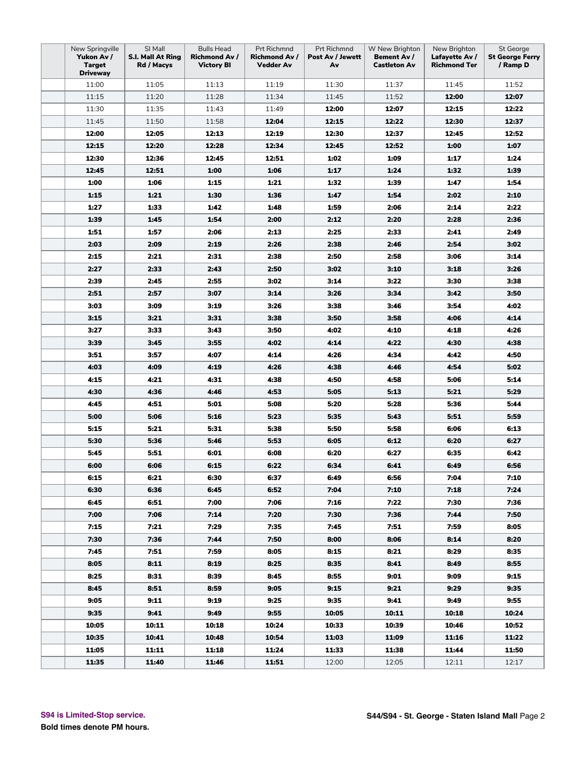| New Springville<br>SI Mall<br><b>Bulls Head</b><br>Prt Richmnd<br>Prt Richmnd<br>W New Brighton<br>New Brighton<br>Yukon Av /<br>S.I. Mall At Ring<br><b>Richmond Av /</b><br><b>Richmond Av /</b><br>Post Av / Jewett<br>Bement Av /<br>Lafayette Av /<br><b>Target</b><br><b>Victory BI</b><br><b>Castleton Av</b><br><b>Richmond Ter</b><br>Rd / Macys<br>Vedder Av<br>Av | St George<br><b>St George Ferry</b><br>/ Ramp D |
|------------------------------------------------------------------------------------------------------------------------------------------------------------------------------------------------------------------------------------------------------------------------------------------------------------------------------------------------------------------------------|-------------------------------------------------|
| <b>Driveway</b><br>11:00<br>11:05<br>11:13<br>11:19<br>11:30<br>11:37<br>11:45                                                                                                                                                                                                                                                                                               | 11:52                                           |
| 11:20<br>11:28<br>12:00<br>11:15<br>11:34<br>11:45<br>11:52                                                                                                                                                                                                                                                                                                                  | 12:07                                           |
| 11:30<br>11:35<br>11:43<br>11:49<br>12:00<br>12:07<br>12:15                                                                                                                                                                                                                                                                                                                  | 12:22                                           |
| 12:04<br>12:15<br>12:30                                                                                                                                                                                                                                                                                                                                                      | 12:37                                           |
| 11:45<br>11:50<br>11:58<br>12:22                                                                                                                                                                                                                                                                                                                                             |                                                 |
| 12:00<br>12:05<br>12:13<br>12:19<br>12:30<br>12:37<br>12:45                                                                                                                                                                                                                                                                                                                  | 12:52                                           |
| 12:15<br>12:20<br>12:28<br>12:34<br>12:45<br>12:52<br>1:00                                                                                                                                                                                                                                                                                                                   | 1:07                                            |
| 12:30<br>12:36<br>12:45<br>12:51<br>1:02<br>1:09<br>1:17                                                                                                                                                                                                                                                                                                                     | 1:24                                            |
| 1:24<br>12:45<br>12:51<br>1:00<br>1:06<br>1:17<br>1:32                                                                                                                                                                                                                                                                                                                       | 1:39                                            |
| 1:00<br>1:06<br>1:39<br>1:15<br>1:21<br>1:32<br>1:47                                                                                                                                                                                                                                                                                                                         | 1:54                                            |
| 1:15<br>1:21<br>1:30<br>1:36<br>1:54<br>2:02<br>1:47                                                                                                                                                                                                                                                                                                                         | 2:10                                            |
| 1:27<br>1:33<br>1:42<br>1:48<br>1:59<br>2:06<br>2:14                                                                                                                                                                                                                                                                                                                         | 2:22                                            |
| 1:39<br>1:45<br>1:54<br>2:00<br>2:20<br>2:28<br>2:12                                                                                                                                                                                                                                                                                                                         | 2:36                                            |
| 1:51<br>1:57<br>2:06<br>2:13<br>2:25<br>2:33<br>2:41                                                                                                                                                                                                                                                                                                                         | 2:49                                            |
| 2:03<br>2:54<br>2:09<br>2:19<br>2:26<br>2:38<br>2:46                                                                                                                                                                                                                                                                                                                         | 3:02                                            |
| 2:15<br>2:21<br>2:58<br>3:06<br>2:31<br>2:38<br>2:50                                                                                                                                                                                                                                                                                                                         | 3:14                                            |
| 2:27<br>2:33<br>2:50<br>2:43<br>3:02<br>3:10<br>3:18                                                                                                                                                                                                                                                                                                                         | 3:26                                            |
| 3:30<br>2:39<br>2:45<br>2:55<br>3:02<br>3:14<br>3:22                                                                                                                                                                                                                                                                                                                         | 3:38                                            |
| 2:51<br>2:57<br>3:07<br>3:14<br>3:26<br>3:34<br>3:42                                                                                                                                                                                                                                                                                                                         | 3:50                                            |
| 3:03<br>3:09<br>3:19<br>3:26<br>3:38<br>3:46<br>3:54                                                                                                                                                                                                                                                                                                                         | 4:02                                            |
| 3:15<br>3:21<br>3:31<br>3:38<br>3:50<br>3:58<br>4:06                                                                                                                                                                                                                                                                                                                         | 4:14                                            |
| 3:27<br>3:33<br>3:50<br>4:02<br>4:10<br>4:18<br>3:43                                                                                                                                                                                                                                                                                                                         | 4:26                                            |
| 3:39<br>3:45<br>3:55<br>4:02<br>4:14<br>4:22<br>4:30                                                                                                                                                                                                                                                                                                                         | 4:38                                            |
| 3:51<br>3:57<br>4:34<br>4:07<br>4:14<br>4:26<br>4:42                                                                                                                                                                                                                                                                                                                         | 4:50                                            |
| 4:09<br>4:54<br>4:03<br>4:19<br>4:26<br>4:38<br>4:46                                                                                                                                                                                                                                                                                                                         | 5:02                                            |
| 4:15<br>4:21<br>4:31<br>4:38<br>4:50<br>4:58<br>5:06                                                                                                                                                                                                                                                                                                                         | 5:14                                            |
| 4:30<br>4:36<br>5:13<br>5:21<br>4:46<br>4:53<br>5:05                                                                                                                                                                                                                                                                                                                         | 5:29                                            |
| 4:45<br>4:51<br>5:01<br>5:08<br>5:20<br>5:28<br>5:36                                                                                                                                                                                                                                                                                                                         | 5:44                                            |
| 5:00<br>5:06<br>5:16<br>5:23<br>5:35<br>5:43<br>5:51                                                                                                                                                                                                                                                                                                                         | 5:59                                            |
| 5:58<br>5:15<br>5:21<br>5:31<br>5:38<br>5:50<br>6:06                                                                                                                                                                                                                                                                                                                         | 6:13                                            |
| 5:30<br>5:36<br>5:46<br>5:53<br>6:05<br>6:12<br>6:20                                                                                                                                                                                                                                                                                                                         | 6:27                                            |
| 5:51<br>6:20<br>6:35<br>5:45<br>6:01<br>6:08<br>6:27                                                                                                                                                                                                                                                                                                                         | 6:42                                            |
| 6:00<br>6:06<br>6:15<br>6:22<br>6:34<br>6:41<br>6:49                                                                                                                                                                                                                                                                                                                         | 6:56                                            |
| 6:21<br>6:56<br>7:04<br>6:15<br>6:30<br>6:37<br>6:49                                                                                                                                                                                                                                                                                                                         | 7:10                                            |
| 6:30<br>7:04<br>7:10<br>7:18<br>6:36<br>6:45<br>6:52                                                                                                                                                                                                                                                                                                                         | 7:24                                            |
| 6:45<br>6:51<br>7:00<br>7:06<br>7:16<br>7:22<br>7:30                                                                                                                                                                                                                                                                                                                         | 7:36                                            |
| 7:00<br>7:06<br>7:36<br>7:44<br>7:14<br>7:20<br>7:30                                                                                                                                                                                                                                                                                                                         | 7:50                                            |
| 7:15<br>7:21<br>7:29<br>7:35<br>7:45<br>7:51<br>7:59                                                                                                                                                                                                                                                                                                                         | 8:05                                            |
| 7:30<br>7:36<br>7:44<br>7:50<br>8:00<br>8:06<br>8:14                                                                                                                                                                                                                                                                                                                         | 8:20                                            |
| 7:51<br>7:59<br>8:21<br>8:29<br>7:45<br>8:05<br>8:15                                                                                                                                                                                                                                                                                                                         | 8:35                                            |
| 8:05<br>8:11<br>8:19<br>8:25<br>8:35<br>8:41<br>8:49                                                                                                                                                                                                                                                                                                                         | 8:55                                            |
| 8:25<br>8:31<br>8:39<br>8:45<br>8:55<br>9:01<br>9:09                                                                                                                                                                                                                                                                                                                         | 9:15                                            |
| 8:51<br>9:21<br>9:29<br>8:45<br>8:59<br>9:05<br>9:15                                                                                                                                                                                                                                                                                                                         | 9:35                                            |
| 9:05<br>9:11<br>9:19<br>9:25<br>9:35<br>9:41<br>9:49                                                                                                                                                                                                                                                                                                                         | 9:55                                            |
| 9:35<br>9:41<br>9:55<br>10:11<br>9:49<br>10:05<br>10:18                                                                                                                                                                                                                                                                                                                      | 10:24                                           |
| 10:05<br>10:11<br>10:18<br>10:24<br>10:33<br>10:39<br>10:46                                                                                                                                                                                                                                                                                                                  | 10:52                                           |
| 10:35<br>11:09<br>11:16<br>10:41<br>10:48<br>10:54<br>11:03                                                                                                                                                                                                                                                                                                                  | 11:22                                           |
| 11:05<br>11:11<br>11:18<br>11:24<br>11:33<br>11:38<br>11:44                                                                                                                                                                                                                                                                                                                  | 11:50                                           |
| 11:35<br>11:40<br>11:46<br>11:51<br>12:05<br>12:00<br>12:11                                                                                                                                                                                                                                                                                                                  | 12:17                                           |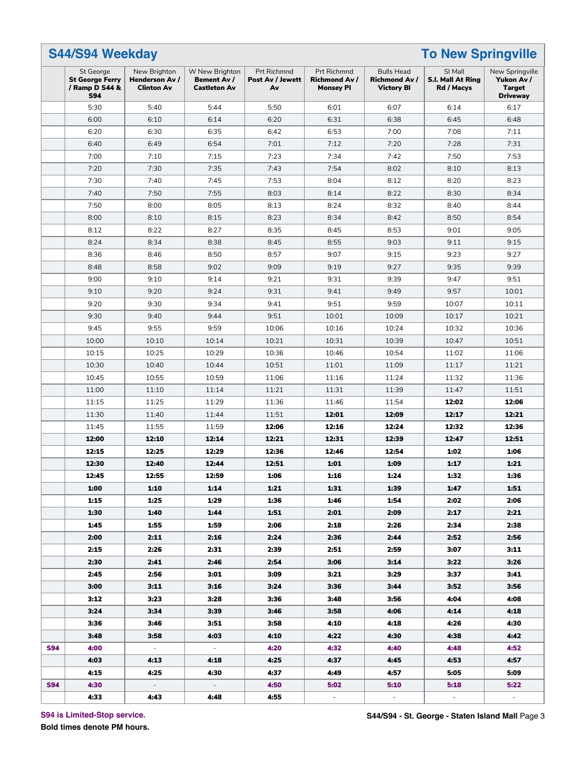| <b>S44/S94 Weekday</b>                                              |                                                     |                                                      |                                       |                                                         |                                                                | <b>To New Springville</b>                  |                                                                   |
|---------------------------------------------------------------------|-----------------------------------------------------|------------------------------------------------------|---------------------------------------|---------------------------------------------------------|----------------------------------------------------------------|--------------------------------------------|-------------------------------------------------------------------|
| St George<br><b>St George Ferry</b><br>/ Ramp D S44 &<br><b>S94</b> | New Brighton<br>Henderson Av /<br><b>Clinton Av</b> | W New Brighton<br>Bement Av /<br><b>Castleton Av</b> | Prt Richmnd<br>Post Av / Jewett<br>Av | Prt Richmnd<br><b>Richmond Av /</b><br><b>Monsey PI</b> | <b>Bulls Head</b><br><b>Richmond Av /</b><br><b>Victory BI</b> | SI Mall<br>S.I. Mall At Ring<br>Rd / Macys | New Springville<br>Yukon Av /<br><b>Target</b><br><b>Driveway</b> |
| 5:30                                                                | 5:40                                                | 5:44                                                 | 5:50                                  | 6:01                                                    | 6:07                                                           | 6:14                                       | 6:17                                                              |
| 6:00                                                                | 6:10                                                | 6:14                                                 | 6:20                                  | 6:31                                                    | 6:38                                                           | 6:45                                       | 6:48                                                              |
| 6:20                                                                | 6:30                                                | 6:35                                                 | 6:42                                  | 6:53                                                    | 7:00                                                           | 7:08                                       | 7:11                                                              |
| 6:40                                                                | 6:49                                                | 6:54                                                 | 7:01                                  | 7:12                                                    | 7:20                                                           | 7:28                                       | 7:31                                                              |
| 7:00                                                                | 7:10                                                | 7:15                                                 | 7:23                                  | 7:34                                                    | 7:42                                                           | 7:50                                       | 7:53                                                              |
| 7:20                                                                | 7:30                                                | 7:35                                                 | 7:43                                  | 7:54                                                    | 8:02                                                           | 8:10                                       | 8:13                                                              |
| 7:30                                                                | 7:40                                                | 7:45                                                 | 7:53                                  | 8:04                                                    | 8:12                                                           | 8:20                                       | 8:23                                                              |
| 7:40                                                                | 7:50                                                | 7:55                                                 | 8:03                                  | 8:14                                                    | 8:22                                                           | 8:30                                       | 8:34                                                              |
| 7:50                                                                | 8:00                                                | 8:05                                                 | 8:13                                  | 8:24                                                    | 8:32                                                           | 8:40                                       | 8:44                                                              |
| 8:00                                                                | 8:10                                                | 8:15                                                 | 8:23                                  | 8:34                                                    | 8:42                                                           | 8:50                                       | 8:54                                                              |
| 8:12                                                                | 8:22                                                | 8:27                                                 | 8:35                                  | 8:45                                                    | 8:53                                                           | 9:01                                       | 9:05                                                              |
| 8:24                                                                | 8:34                                                | 8:38                                                 | 8:45                                  | 8:55                                                    | 9:03                                                           | 9:11                                       | 9:15                                                              |
| 8:36                                                                | 8:46                                                | 8:50                                                 | 8:57                                  | 9:07                                                    | 9:15                                                           | 9:23                                       | 9:27                                                              |
| 8:48                                                                | 8:58                                                | 9:02                                                 | 9:09                                  | 9:19                                                    | 9:27                                                           | 9:35                                       | 9:39                                                              |
|                                                                     |                                                     |                                                      |                                       |                                                         |                                                                |                                            |                                                                   |
| 9:00                                                                | 9:10                                                | 9:14                                                 | 9:21                                  | 9:31                                                    | 9:39                                                           | 9:47                                       | 9:51                                                              |
| 9:10                                                                | 9:20                                                | 9:24                                                 | 9:31                                  | 9:41                                                    | 9:49                                                           | 9:57                                       | 10:01                                                             |
| 9:20                                                                | 9:30                                                | 9:34                                                 | 9:41                                  | 9:51                                                    | 9:59                                                           | 10:07                                      | 10:11                                                             |
| 9:30                                                                | 9:40                                                | 9:44                                                 | 9:51                                  | 10:01                                                   | 10:09                                                          | 10:17                                      | 10:21                                                             |
| 9:45                                                                | 9:55                                                | 9:59                                                 | 10:06                                 | 10:16                                                   | 10:24                                                          | 10:32                                      | 10:36                                                             |
| 10:00                                                               | 10:10                                               | 10:14                                                | 10:21                                 | 10:31                                                   | 10:39                                                          | 10:47                                      | 10:51                                                             |
| 10:15                                                               | 10:25                                               | 10:29                                                | 10:36                                 | 10:46                                                   | 10:54                                                          | 11:02                                      | 11:06                                                             |
| 10:30                                                               | 10:40                                               | 10:44                                                | 10:51                                 | 11:01                                                   | 11:09                                                          | 11:17                                      | 11:21                                                             |
| 10:45                                                               | 10:55                                               | 10:59                                                | 11:06                                 | 11:16                                                   | 11:24                                                          | 11:32                                      | 11:36                                                             |
| 11:00                                                               | 11:10                                               | 11:14                                                | 11:21                                 | 11:31                                                   | 11:39                                                          | 11:47                                      | 11:51                                                             |
| 11:15                                                               | 11:25                                               | 11:29                                                | 11:36                                 | 11:46                                                   | 11:54                                                          | 12:02                                      | 12:06                                                             |
| 11:30                                                               | 11:40                                               | 11:44                                                | 11:51                                 | 12:01                                                   | 12:09                                                          | 12:17                                      | 12:21                                                             |
| 11:45                                                               | 11:55                                               | 11:59                                                | 12:06                                 | 12:16                                                   | 12:24                                                          | 12:32                                      | 12:36                                                             |
| 12:00                                                               | 12:10                                               | 12:14                                                | 12:21                                 | 12:31                                                   | 12:39                                                          | 12:47                                      | 12:51                                                             |
| 12:15                                                               | 12:25                                               | 12:29                                                | 12:36                                 | 12:46                                                   | 12:54                                                          | 1:02                                       | 1:06                                                              |
| 12:30                                                               | 12:40                                               | 12:44                                                | 12:51                                 | 1:01                                                    | 1:09                                                           | 1:17                                       | 1:21                                                              |
| 12:45                                                               | 12:55                                               | 12:59                                                | 1:06                                  | 1:16                                                    | 1:24                                                           | 1:32                                       | 1:36                                                              |
| 1:00                                                                | 1:10                                                | 1:14                                                 | 1:21                                  | 1:31                                                    | 1:39                                                           | 1:47                                       | 1:51                                                              |
| 1:15                                                                | 1:25                                                | 1:29                                                 | 1:36                                  | 1:46                                                    | 1:54                                                           | 2:02                                       | 2:06                                                              |
| 1:30                                                                | 1:40                                                | 1:44                                                 | 1:51                                  | 2:01                                                    | 2:09                                                           | 2:17                                       | 2:21                                                              |
| 1:45                                                                | 1:55                                                | 1:59                                                 | 2:06                                  | 2:18                                                    | 2:26                                                           | 2:34                                       | 2:38                                                              |
| 2:00                                                                | 2:11                                                | 2:16                                                 | 2:24                                  | 2:36                                                    | 2:44                                                           | 2:52                                       | 2:56                                                              |
| 2:15                                                                | 2:26                                                | 2:31                                                 | 2:39                                  | 2:51                                                    | 2:59                                                           | 3:07                                       | 3:11                                                              |
| 2:30                                                                | 2:41                                                | 2:46                                                 | 2:54                                  | 3:06                                                    | 3:14                                                           | 3:22                                       | 3:26                                                              |
| 2:45                                                                | 2:56                                                | 3:01                                                 | 3:09                                  | 3:21                                                    | 3:29                                                           | 3:37                                       | 3:41                                                              |
| 3:00                                                                | 3:11                                                | 3:16                                                 | 3:24                                  | 3:36                                                    | 3:44                                                           | 3:52                                       | 3:56                                                              |
| 3:12                                                                | 3:23                                                | 3:28                                                 | 3:36                                  | 3:48                                                    | 3:56                                                           | 4:04                                       | 4:08                                                              |
|                                                                     |                                                     |                                                      |                                       |                                                         |                                                                |                                            |                                                                   |
| 3:24                                                                | 3:34                                                | 3:39                                                 | 3:46                                  | 3:58                                                    | 4:06                                                           | 4:14                                       | 4:18                                                              |
| 3:36                                                                | 3:46                                                | 3:51                                                 | 3:58                                  | 4:10                                                    | 4:18                                                           | 4:26                                       | 4:30                                                              |
| 3:48                                                                | 3:58                                                | 4:03                                                 | 4:10                                  | 4:22                                                    | 4:30                                                           | 4:38                                       | 4:42                                                              |
| 4:00                                                                | $\sim$                                              | $\sim$                                               | 4:20                                  | 4:32                                                    | 4:40                                                           | 4:48                                       | 4:52                                                              |
| 4:03                                                                | 4:13                                                | 4:18                                                 | 4:25                                  | 4:37                                                    | 4:45                                                           | 4:53                                       | 4:57                                                              |
| 4:15                                                                | 4:25                                                | 4:30                                                 | 4:37                                  | 4:49                                                    | 4:57                                                           | 5:05                                       | 5:09                                                              |
| 4:30                                                                | $\omega_{\rm{eff}}$                                 | $\omega_{\rm{eff}}$                                  | 4:50                                  | 5:02                                                    | 5:10                                                           | 5:18                                       | 5:22                                                              |
| 4:33                                                                | 4:43                                                | 4:48                                                 | 4:55                                  | $\sim$                                                  | $\omega$ .                                                     | $\omega$                                   | $\omega_{\rm c}$                                                  |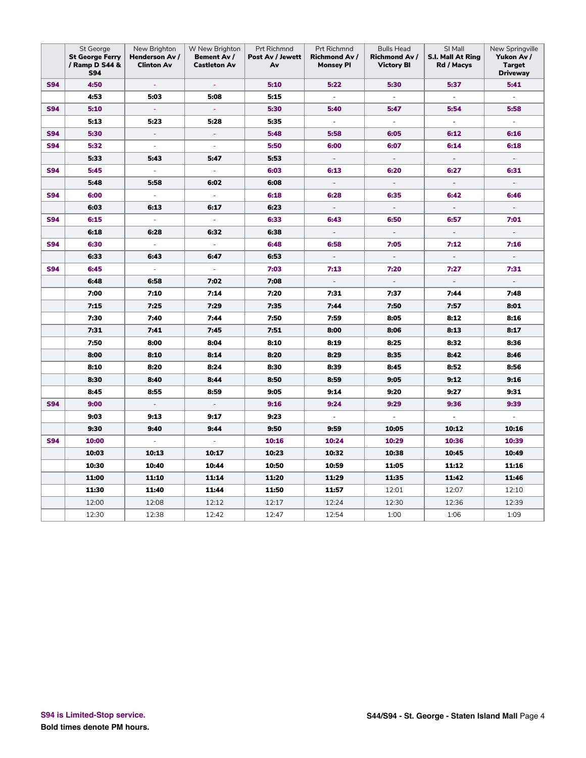|            | St George<br><b>St George Ferry</b><br>/ Ramp D S44 &<br><b>S94</b> | New Brighton<br>Henderson Av /<br><b>Clinton Av</b> | W New Brighton<br><b>Bement Av /</b><br><b>Castleton Av</b> | Prt Richmnd<br>Post Av / Jewett<br>Av | Prt Richmnd<br>Richmond Av /<br><b>Monsey PI</b> | <b>Bulls Head</b><br><b>Richmond Av /</b><br><b>Victory BI</b> | SI Mall<br>S.I. Mall At Ring<br>Rd / Macys | New Springville<br>Yukon Av /<br><b>Target</b><br><b>Driveway</b> |
|------------|---------------------------------------------------------------------|-----------------------------------------------------|-------------------------------------------------------------|---------------------------------------|--------------------------------------------------|----------------------------------------------------------------|--------------------------------------------|-------------------------------------------------------------------|
| <b>S94</b> | 4:50                                                                | $\omega$                                            | $\omega$                                                    | 5:10                                  | 5:22                                             | 5:30                                                           | 5:37                                       | 5:41                                                              |
|            | 4:53                                                                | 5:03                                                | 5:08                                                        | 5:15                                  | $\blacksquare$                                   | $\overline{\phantom{a}}$                                       | $\overline{\phantom{a}}$                   | $\blacksquare$                                                    |
| <b>S94</b> | 5:10                                                                | $\omega$                                            | $\sim$                                                      | 5:30                                  | 5:40                                             | 5:47                                                           | 5:54                                       | 5:58                                                              |
|            | 5:13                                                                | 5:23                                                | 5:28                                                        | 5:35                                  | $\Box$                                           | $\overline{\phantom{a}}$                                       | $\Box$                                     | $\blacksquare$                                                    |
| <b>S94</b> | 5:30                                                                | $\Box$                                              | $\omega$                                                    | 5:48                                  | 5:58                                             | 6:05                                                           | 6:12                                       | 6:16                                                              |
| <b>S94</b> | 5:32                                                                | $\omega$                                            | $\omega$                                                    | 5:50                                  | 6:00                                             | 6:07                                                           | 6:14                                       | 6:18                                                              |
|            | 5:33                                                                | 5:43                                                | 5:47                                                        | 5:53                                  | $\overline{\phantom{a}}$                         | $\overline{\phantom{a}}$                                       | $\overline{\phantom{a}}$                   | $\overline{\phantom{a}}$                                          |
| <b>S94</b> | 5:45                                                                | ÷.                                                  | $\omega$                                                    | 6:03                                  | 6:13                                             | 6:20                                                           | 6:27                                       | 6:31                                                              |
|            | 5:48                                                                | 5:58                                                | 6:02                                                        | 6:08                                  | $\overline{\phantom{a}}$                         | $\overline{\phantom{a}}$                                       | $\overline{\phantom{a}}$                   | $\overline{\phantom{a}}$                                          |
| <b>S94</b> | 6:00                                                                | $\blacksquare$                                      | $\omega$                                                    | 6:18                                  | 6:28                                             | 6:35                                                           | 6:42                                       | 6:46                                                              |
|            | 6:03                                                                | 6:13                                                | 6:17                                                        | 6:23                                  | $\overline{\phantom{a}}$                         | $\bar{\phantom{a}}$                                            | $\bar{\phantom{a}}$                        | $\blacksquare$                                                    |
| <b>S94</b> | 6:15                                                                | ÷.                                                  | $\blacksquare$                                              | 6:33                                  | 6:43                                             | 6:50                                                           | 6:57                                       | 7:01                                                              |
|            | 6:18                                                                | 6:28                                                | 6:32                                                        | 6:38                                  | $\overline{\phantom{a}}$                         | $\overline{\phantom{a}}$                                       | $\bar{\phantom{a}}$                        | $\overline{\phantom{a}}$                                          |
| <b>S94</b> | 6:30                                                                | $\omega$                                            | $\equiv$                                                    | 6:48                                  | 6:58                                             | 7:05                                                           | 7:12                                       | 7:16                                                              |
|            | 6:33                                                                | 6:43                                                | 6:47                                                        | 6:53                                  | $\blacksquare$                                   | $\overline{\phantom{a}}$                                       | $\blacksquare$                             | $\blacksquare$                                                    |
| <b>S94</b> | 6:45                                                                | ÷                                                   | ÷                                                           | 7:03                                  | 7:13                                             | 7:20                                                           | 7:27                                       | 7:31                                                              |
|            | 6:48                                                                | 6:58                                                | 7:02                                                        | 7:08                                  | $\overline{\phantom{a}}$                         | $\Box$                                                         | $\overline{\phantom{a}}$                   | $\overline{a}$                                                    |
|            | 7:00                                                                | 7:10                                                | 7:14                                                        | 7:20                                  | 7:31                                             | 7:37                                                           | 7:44                                       | 7:48                                                              |
|            | 7:15                                                                | 7:25                                                | 7:29                                                        | 7:35                                  | 7:44                                             | 7:50                                                           | 7:57                                       | 8:01                                                              |
|            | 7:30                                                                | 7:40                                                | 7:44                                                        | 7:50                                  | 7:59                                             | 8:05                                                           | 8:12                                       | 8:16                                                              |
|            | 7:31                                                                | 7:41                                                | 7:45                                                        | 7:51                                  | 8:00                                             | 8:06                                                           | 8:13                                       | 8:17                                                              |
|            | 7:50                                                                | 8:00                                                | 8:04                                                        | 8:10                                  | 8:19                                             | 8:25                                                           | 8:32                                       | 8:36                                                              |
|            | 8:00                                                                | 8:10                                                | 8:14                                                        | 8:20                                  | 8:29                                             | 8:35                                                           | 8:42                                       | 8:46                                                              |
|            | 8:10                                                                | 8:20                                                | 8:24                                                        | 8:30                                  | 8:39                                             | 8:45                                                           | 8:52                                       | 8:56                                                              |
|            | 8:30                                                                | 8:40                                                | 8:44                                                        | 8:50                                  | 8:59                                             | 9:05                                                           | 9:12                                       | 9:16                                                              |
|            | 8:45                                                                | 8:55                                                | 8:59                                                        | 9:05                                  | 9:14                                             | 9:20                                                           | 9:27                                       | 9:31                                                              |
| <b>S94</b> | 9:00                                                                | $\blacksquare$                                      | $\overline{\phantom{a}}$                                    | 9:16                                  | 9:24                                             | 9:29                                                           | 9:36                                       | 9:39                                                              |
|            | 9:03                                                                | 9:13                                                | 9:17                                                        | 9:23                                  | $\blacksquare$                                   | $\overline{\phantom{a}}$                                       | $\overline{\phantom{a}}$                   | L.                                                                |
|            | 9:30                                                                | 9:40                                                | 9:44                                                        | 9:50                                  | 9:59                                             | 10:05                                                          | 10:12                                      | 10:16                                                             |
| <b>S94</b> | 10:00                                                               | $\blacksquare$                                      | $\omega$                                                    | 10:16                                 | 10:24                                            | 10:29                                                          | 10:36                                      | 10:39                                                             |
|            | 10:03                                                               | 10:13                                               | 10:17                                                       | 10:23                                 | 10:32                                            | 10:38                                                          | 10:45                                      | 10:49                                                             |
|            | 10:30                                                               | 10:40                                               | 10:44                                                       | 10:50                                 | 10:59                                            | 11:05                                                          | 11:12                                      | 11:16                                                             |
|            | 11:00                                                               | 11:10                                               | 11:14                                                       | 11:20                                 | 11:29                                            | 11:35                                                          | 11:42                                      | 11:46                                                             |
|            | 11:30                                                               | 11:40                                               | 11:44                                                       | 11:50                                 | 11:57                                            | 12:01                                                          | 12:07                                      | 12:10                                                             |
|            | 12:00                                                               | 12:08                                               | 12:12                                                       | 12:17                                 | 12:24                                            | 12:30                                                          | 12:36                                      | 12:39                                                             |
|            | 12:30                                                               | 12:38                                               | 12:42                                                       | 12:47                                 | 12:54                                            | 1:00                                                           | 1:06                                       | 1:09                                                              |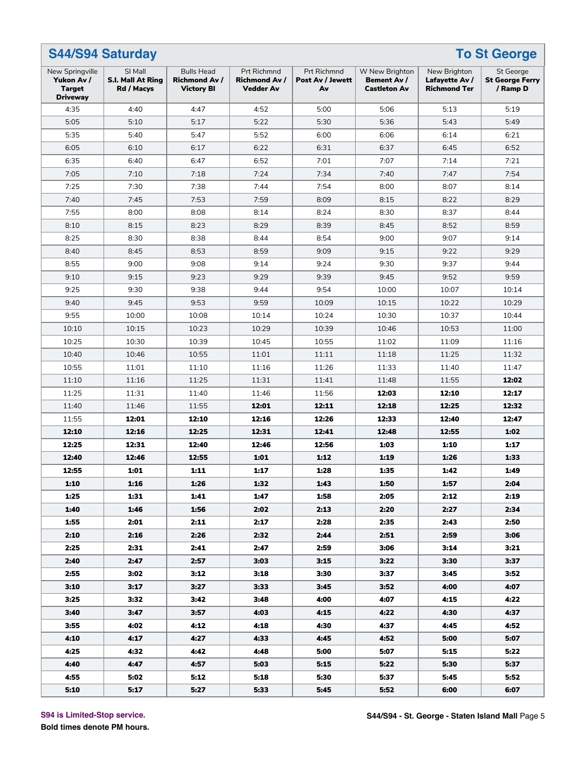| <b>S44/S94 Saturday</b><br><b>To St George</b>                    |                                                   |                                                                |                                                                |                                              |                                                      |                                                       |                                                        |  |  |  |  |
|-------------------------------------------------------------------|---------------------------------------------------|----------------------------------------------------------------|----------------------------------------------------------------|----------------------------------------------|------------------------------------------------------|-------------------------------------------------------|--------------------------------------------------------|--|--|--|--|
| New Springville<br>Yukon Av /<br><b>Target</b><br><b>Driveway</b> | SI Mall<br><b>S.I. Mall At Ring</b><br>Rd / Macys | <b>Bulls Head</b><br><b>Richmond Av /</b><br><b>Victory BI</b> | <b>Prt Richmnd</b><br><b>Richmond Av /</b><br><b>Vedder Av</b> | <b>Prt Richmnd</b><br>Post Av / Jewett<br>Av | W New Brighton<br>Bement Av /<br><b>Castleton Av</b> | New Brighton<br>Lafayette Av /<br><b>Richmond Ter</b> | <b>St George</b><br><b>St George Ferry</b><br>/ Ramp D |  |  |  |  |
| 4:35                                                              | 4:40                                              | 4:47                                                           | 4:52                                                           | 5:00                                         | 5:06                                                 | 5:13                                                  | 5:19                                                   |  |  |  |  |
| 5:05                                                              | 5:10                                              | 5:17                                                           | 5:22                                                           | 5:30                                         | 5:36                                                 | 5:43                                                  | 5:49                                                   |  |  |  |  |
| 5:35                                                              | 5:40                                              | 5:47                                                           | 5:52                                                           | 6:00                                         | 6:06                                                 | 6:14                                                  | 6:21                                                   |  |  |  |  |
| 6:05                                                              | 6:10                                              | 6:17                                                           | 6:22                                                           | 6:31                                         | 6:37                                                 | 6:45                                                  | 6:52                                                   |  |  |  |  |
| 6:35                                                              | 6:40                                              | 6:47                                                           | 6:52                                                           | 7:01                                         | 7:07                                                 | 7:14                                                  | 7:21                                                   |  |  |  |  |
| 7:05                                                              | 7:10                                              | 7:18                                                           | 7:24                                                           | 7:34                                         | 7:40                                                 | 7:47                                                  | 7:54                                                   |  |  |  |  |
| 7:25                                                              | 7:30                                              | 7:38                                                           | 7:44                                                           | 7:54                                         | 8:00                                                 | 8:07                                                  | 8:14                                                   |  |  |  |  |
| 7:40                                                              | 7:45                                              | 7:53                                                           | 7:59                                                           | 8:09                                         | 8:15                                                 | 8:22                                                  | 8:29                                                   |  |  |  |  |
| 7:55                                                              | 8:00                                              | 8:08                                                           | 8:14                                                           | 8:24                                         | 8:30                                                 | 8:37                                                  | 8:44                                                   |  |  |  |  |
| 8:10                                                              | 8:15                                              | 8:23                                                           | 8:29                                                           | 8:39                                         | 8:45                                                 | 8:52                                                  | 8:59                                                   |  |  |  |  |
| 8:25                                                              | 8:30                                              | 8:38                                                           | 8:44                                                           | 8:54                                         | 9:00                                                 | 9:07                                                  | 9:14                                                   |  |  |  |  |
| 8:40                                                              | 8:45                                              | 8:53                                                           | 8:59                                                           | 9:09                                         | 9:15                                                 | 9:22                                                  | 9:29                                                   |  |  |  |  |
| 8:55                                                              | 9:00                                              | 9:08                                                           | 9:14                                                           | 9:24                                         | 9:30                                                 | 9:37                                                  | 9:44                                                   |  |  |  |  |
| 9:10                                                              | 9:15                                              | 9:23                                                           | 9:29                                                           | 9:39                                         | 9:45                                                 | 9:52                                                  | 9:59                                                   |  |  |  |  |
| 9:25                                                              | 9:30                                              | 9:38                                                           | 9:44                                                           | 9:54                                         | 10:00                                                | 10:07                                                 | 10:14                                                  |  |  |  |  |
| 9:40                                                              | 9:45                                              | 9:53                                                           | 9:59                                                           | 10:09                                        | 10:15                                                | 10:22                                                 | 10:29                                                  |  |  |  |  |
| 9:55                                                              | 10:00                                             | 10:08                                                          | 10:14                                                          | 10:24                                        | 10:30                                                | 10:37                                                 | 10:44                                                  |  |  |  |  |
| 10:10                                                             | 10:15                                             | 10:23                                                          | 10:29                                                          | 10:39                                        | 10:46                                                | 10:53                                                 | 11:00                                                  |  |  |  |  |
| 10:25                                                             | 10:30                                             | 10:39                                                          | 10:45                                                          | 10:55                                        | 11:02                                                | 11:09                                                 | 11:16                                                  |  |  |  |  |
| 10:40                                                             | 10:46                                             | 10:55                                                          | 11:01                                                          | 11:11                                        | 11:18                                                | 11:25                                                 | 11:32                                                  |  |  |  |  |
| 10:55                                                             | 11:01                                             | 11:10                                                          | 11:16                                                          | 11:26                                        | 11:33                                                | 11:40                                                 | 11:47                                                  |  |  |  |  |
| 11:10                                                             | 11:16                                             | 11:25                                                          | 11:31                                                          | 11:41                                        | 11:48                                                | 11:55                                                 | 12:02                                                  |  |  |  |  |
| 11:25                                                             | 11:31                                             | 11:40                                                          | 11:46                                                          | 11:56                                        | 12:03                                                | 12:10                                                 | 12:17                                                  |  |  |  |  |
| 11:40                                                             | 11:46                                             | 11:55                                                          | 12:01                                                          | 12:11                                        | 12:18                                                | 12:25                                                 | 12:32                                                  |  |  |  |  |
| 11:55                                                             | 12:01                                             | 12:10                                                          | 12:16                                                          | 12:26                                        | 12:33                                                | 12:40                                                 | 12:47                                                  |  |  |  |  |
| 12:10                                                             | 12:16                                             | 12:25                                                          | 12:31                                                          | 12:41                                        | 12:48                                                | 12:55                                                 | 1:02                                                   |  |  |  |  |
| 12:25                                                             | 12:31                                             | 12:40                                                          | 12:46                                                          | 12:56                                        | 1:03                                                 | 1:10                                                  | 1:17                                                   |  |  |  |  |
| 12:40                                                             | 12:46                                             | 12:55                                                          | 1:01                                                           | 1:12                                         | 1:19                                                 | 1:26                                                  | 1:33                                                   |  |  |  |  |
| 12:55                                                             | 1:01                                              | 1:11                                                           | 1:17                                                           | 1:28                                         | 1:35                                                 | 1:42                                                  | 1:49                                                   |  |  |  |  |
| 1:10                                                              | 1:16                                              | 1:26                                                           | 1:32                                                           | 1:43                                         | 1:50                                                 | 1:57                                                  | 2:04                                                   |  |  |  |  |
| 1:25                                                              | 1:31                                              | 1:41                                                           | 1:47                                                           | 1:58                                         | 2:05                                                 | 2:12                                                  | 2:19                                                   |  |  |  |  |
| 1:40                                                              | 1:46                                              | 1:56                                                           | 2:02                                                           | 2:13                                         | 2:20                                                 | 2:27                                                  | 2:34                                                   |  |  |  |  |
| 1:55                                                              | 2:01                                              | 2:11                                                           | 2:17                                                           | 2:28                                         | 2:35                                                 | 2:43                                                  | 2:50                                                   |  |  |  |  |
| 2:10                                                              | 2:16                                              | 2:26                                                           | 2:32                                                           | 2:44                                         | 2:51                                                 | 2:59                                                  | 3:06                                                   |  |  |  |  |
|                                                                   |                                                   |                                                                |                                                                | 2:59                                         |                                                      |                                                       |                                                        |  |  |  |  |
| 2:25                                                              | 2:31                                              | 2:41                                                           | 2:47                                                           |                                              | 3:06                                                 | 3:14                                                  | 3:21                                                   |  |  |  |  |
| 2:40                                                              | 2:47                                              | 2:57                                                           | 3:03                                                           | 3:15                                         | 3:22                                                 | 3:30                                                  | 3:37                                                   |  |  |  |  |
| 2:55                                                              | 3:02                                              | 3:12                                                           | 3:18                                                           | 3:30                                         | 3:37                                                 | 3:45                                                  | 3:52                                                   |  |  |  |  |
| 3:10                                                              | 3:17                                              | 3:27                                                           | 3:33                                                           | 3:45                                         | 3:52                                                 | 4:00                                                  | 4:07                                                   |  |  |  |  |
| 3:25                                                              | 3:32                                              | 3:42                                                           | 3:48                                                           | 4:00                                         | 4:07                                                 | 4:15                                                  | 4:22                                                   |  |  |  |  |
| 3:40                                                              | 3:47                                              | 3:57                                                           | 4:03                                                           | 4:15                                         | 4:22                                                 | 4:30                                                  | 4:37                                                   |  |  |  |  |
| 3:55                                                              | 4:02                                              | 4:12                                                           | 4:18                                                           | 4:30                                         | 4:37                                                 | 4:45                                                  | 4:52                                                   |  |  |  |  |
| 4:10                                                              | 4:17                                              | 4:27                                                           | 4:33                                                           | 4:45                                         | 4:52                                                 | 5:00                                                  | 5:07                                                   |  |  |  |  |
| 4:25                                                              | 4:32                                              | 4:42                                                           | 4:48                                                           | 5:00                                         | 5:07                                                 | 5:15                                                  | 5:22                                                   |  |  |  |  |
| 4:40                                                              | 4:47                                              | 4:57                                                           | 5:03                                                           | 5:15                                         | 5:22                                                 | 5:30                                                  | 5:37                                                   |  |  |  |  |
| 4:55                                                              | 5:02                                              | 5:12                                                           | 5:18                                                           | 5:30                                         | 5:37                                                 | 5:45                                                  | 5:52                                                   |  |  |  |  |
| 5:10                                                              | 5:17                                              | 5:27                                                           | 5:33                                                           | 5:45                                         | 5:52                                                 | 6:00                                                  | 6:07                                                   |  |  |  |  |

**S94 is Limited-Stop service.**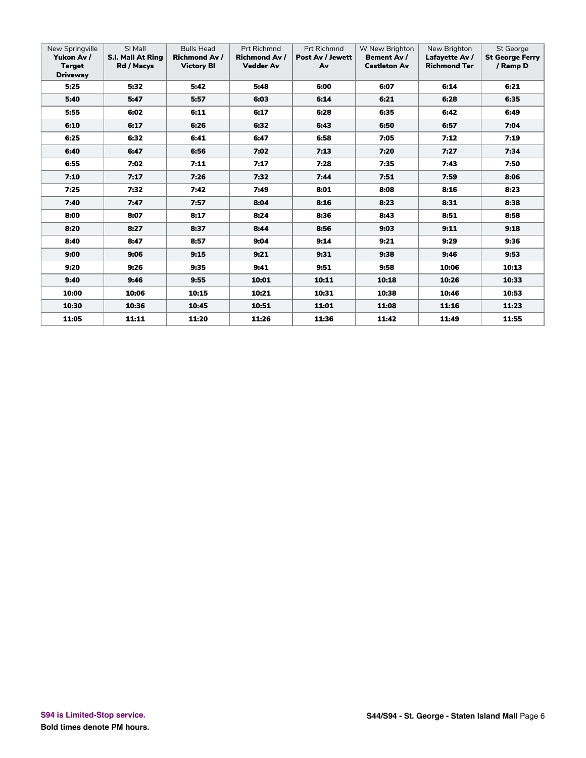| New Springville<br>Yukon Av /<br><b>Target</b><br><b>Driveway</b> | SI Mall<br><b>S.I. Mall At Ring</b><br>Rd / Macys | <b>Bulls Head</b><br><b>Richmond Av /</b><br><b>Victory BI</b> | <b>Prt Richmnd</b><br><b>Richmond Av /</b><br><b>Vedder Av</b> | <b>Prt Richmnd</b><br>Post Av / Jewett<br>Av | W New Brighton<br>Bement Av /<br><b>Castleton Av</b> | New Brighton<br>Lafayette Av /<br><b>Richmond Ter</b> | <b>St George</b><br><b>St George Ferry</b><br>/ Ramp D |
|-------------------------------------------------------------------|---------------------------------------------------|----------------------------------------------------------------|----------------------------------------------------------------|----------------------------------------------|------------------------------------------------------|-------------------------------------------------------|--------------------------------------------------------|
| 5:25                                                              | 5:32                                              | 5:42                                                           | 5:48                                                           | 6:00                                         | 6:07                                                 | 6:14                                                  | 6:21                                                   |
| 5:40                                                              | 5:47                                              | 5:57                                                           | 6:03                                                           | 6:14                                         | 6:21                                                 | 6:28                                                  | 6:35                                                   |
| 5:55                                                              | 6:02                                              | 6:11                                                           | 6:17                                                           | 6:28                                         | 6:35                                                 | 6:42                                                  | 6:49                                                   |
| 6:10                                                              | 6:17                                              | 6:26                                                           | 6:32                                                           | 6:43                                         | 6:50                                                 | 6:57                                                  | 7:04                                                   |
| 6:25                                                              | 6:32                                              | 6:41                                                           | 6:47                                                           | 6:58                                         | 7:05                                                 | 7:12                                                  | 7:19                                                   |
| 6:40                                                              | 6:47                                              | 6:56                                                           | 7:02                                                           | 7:13                                         | 7:20                                                 | 7:27                                                  | 7:34                                                   |
| 6:55                                                              | 7:02                                              | 7:11                                                           | 7:17                                                           | 7:28                                         | 7:35                                                 | 7:43                                                  | 7:50                                                   |
| 7:10                                                              | 7:17                                              | 7:26                                                           | 7:32                                                           | 7:44                                         | 7:51                                                 | 7:59                                                  | 8:06                                                   |
| 7:25                                                              | 7:32                                              | 7:42                                                           | 7:49                                                           | 8:01                                         | 8:08                                                 | 8:16                                                  | 8:23                                                   |
| 7:40                                                              | 7:47                                              | 7:57                                                           | 8:04                                                           | 8:16                                         | 8:23                                                 | 8:31                                                  | 8:38                                                   |
| 8:00                                                              | 8:07                                              | 8:17                                                           | 8:24                                                           | 8:36                                         | 8:43                                                 | 8:51                                                  | 8:58                                                   |
| 8:20                                                              | 8:27                                              | 8:37                                                           | 8:44                                                           | 8:56                                         | 9:03                                                 | 9:11                                                  | 9:18                                                   |
| 8:40                                                              | 8:47                                              | 8:57                                                           | 9:04                                                           | 9:14                                         | 9:21                                                 | 9:29                                                  | 9:36                                                   |
| 9:00                                                              | 9:06                                              | 9:15                                                           | 9:21                                                           | 9:31                                         | 9:38                                                 | 9:46                                                  | 9:53                                                   |
| 9:20                                                              | 9:26                                              | 9:35                                                           | 9:41                                                           | 9:51                                         | 9:58                                                 | 10:06                                                 | 10:13                                                  |
| 9:40                                                              | 9:46                                              | 9:55                                                           | 10:01                                                          | 10:11                                        | 10:18                                                | 10:26                                                 | 10:33                                                  |
| 10:00                                                             | 10:06                                             | 10:15                                                          | 10:21                                                          | 10:31                                        | 10:38                                                | 10:46                                                 | 10:53                                                  |
| 10:30                                                             | 10:36                                             | 10:45                                                          | 10:51                                                          | 11:01                                        | 11:08                                                | 11:16                                                 | 11:23                                                  |
| 11:05                                                             | 11:11                                             | 11:20                                                          | 11:26                                                          | 11:36                                        | 11:42                                                | 11:49                                                 | 11:55                                                  |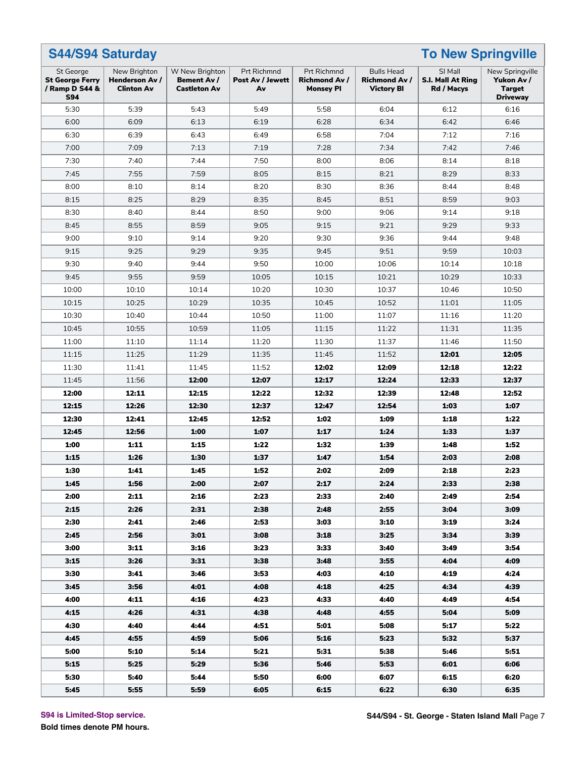| <b>S44/S94 Saturday</b>                                             |                                                            |                                                      |                                       | <b>To New Springville</b>                               |                                                               |                                            |                                                                   |  |  |
|---------------------------------------------------------------------|------------------------------------------------------------|------------------------------------------------------|---------------------------------------|---------------------------------------------------------|---------------------------------------------------------------|--------------------------------------------|-------------------------------------------------------------------|--|--|
| St George<br><b>St George Ferry</b><br>/ Ramp D S44 &<br><b>S94</b> | New Brighton<br><b>Henderson Av /</b><br><b>Clinton Av</b> | W New Brighton<br>Bement Av /<br><b>Castleton Av</b> | Prt Richmnd<br>Post Av / Jewett<br>Av | Prt Richmnd<br><b>Richmond Av /</b><br><b>Monsey PI</b> | <b>Bulls Head</b><br><b>Richmond Av/</b><br><b>Victory BI</b> | SI Mall<br>S.I. Mall At Ring<br>Rd / Macys | New Springville<br>Yukon Av /<br><b>Target</b><br><b>Driveway</b> |  |  |
| 5:30                                                                | 5:39                                                       | 5:43                                                 | 5:49                                  | 5:58                                                    | 6:04                                                          | 6:12                                       | 6:16                                                              |  |  |
| 6:00                                                                | 6:09                                                       | 6:13                                                 | 6:19                                  | 6:28                                                    | 6:34                                                          | 6:42                                       | 6:46                                                              |  |  |
| 6:30                                                                | 6:39                                                       | 6:43                                                 | 6:49                                  | 6:58                                                    | 7:04                                                          | 7:12                                       | 7:16                                                              |  |  |
| 7:00                                                                | 7:09                                                       | 7:13                                                 | 7:19                                  | 7:28                                                    | 7:34                                                          | 7:42                                       | 7:46                                                              |  |  |
| 7:30                                                                | 7:40                                                       | 7:44                                                 | 7:50                                  | 8:00                                                    | 8:06                                                          | 8:14                                       | 8:18                                                              |  |  |
| 7:45                                                                | 7:55                                                       | 7:59                                                 | 8:05                                  | 8:15                                                    | 8:21                                                          | 8:29                                       | 8:33                                                              |  |  |
| 8:00                                                                | 8:10                                                       | 8:14                                                 | 8:20                                  | 8:30                                                    | 8:36                                                          | 8:44                                       | 8:48                                                              |  |  |
| 8:15                                                                | 8:25                                                       | 8:29                                                 | 8:35                                  | 8:45                                                    | 8:51                                                          | 8:59                                       | 9:03                                                              |  |  |
| 8:30                                                                | 8:40                                                       | 8:44                                                 | 8:50                                  | 9:00                                                    | 9:06                                                          | 9:14                                       | 9:18                                                              |  |  |
| 8:45                                                                | 8:55                                                       | 8:59                                                 | 9:05                                  | 9:15                                                    | 9:21                                                          | 9:29                                       | 9:33                                                              |  |  |
| 9:00                                                                | 9:10                                                       | 9:14                                                 | 9:20                                  | 9:30                                                    | 9:36                                                          | 9:44                                       | 9:48                                                              |  |  |
| 9:15                                                                | 9:25                                                       | 9:29                                                 | 9:35                                  | 9:45                                                    | 9:51                                                          | 9:59                                       | 10:03                                                             |  |  |
| 9:30                                                                | 9:40                                                       | 9:44                                                 | 9:50                                  | 10:00                                                   | 10:06                                                         | 10:14                                      | 10:18                                                             |  |  |
| 9:45                                                                | 9:55                                                       | 9:59                                                 | 10:05                                 | 10:15                                                   | 10:21                                                         | 10:29                                      | 10:33                                                             |  |  |
| 10:00                                                               | 10:10                                                      | 10:14                                                | 10:20                                 | 10:30                                                   | 10:37                                                         | 10:46                                      | 10:50                                                             |  |  |
| 10:15                                                               | 10:25                                                      | 10:29                                                | 10:35                                 | 10:45                                                   | 10:52                                                         | 11:01                                      | 11:05                                                             |  |  |
| 10:30                                                               | 10:40                                                      | 10:44                                                | 10:50                                 | 11:00                                                   | 11:07                                                         | 11:16                                      | 11:20                                                             |  |  |
| 10:45                                                               | 10:55                                                      | 10:59                                                | 11:05                                 | 11:15                                                   | 11:22                                                         | 11:31                                      | 11:35                                                             |  |  |
| 11:00                                                               | 11:10                                                      | 11:14                                                | 11:20                                 | 11:30                                                   | 11:37                                                         | 11:46                                      | 11:50                                                             |  |  |
| 11:15                                                               | 11:25                                                      | 11:29                                                | 11:35                                 | 11:45                                                   | 11:52                                                         | 12:01                                      | 12:05                                                             |  |  |
| 11:30                                                               | 11:41                                                      | 11:45                                                | 11:52                                 | 12:02                                                   | 12:09                                                         | 12:18                                      | 12:22                                                             |  |  |
| 11:45                                                               | 11:56                                                      | 12:00                                                | 12:07                                 | 12:17                                                   | 12:24                                                         | 12:33                                      | 12:37                                                             |  |  |
| 12:00                                                               | 12:11                                                      | 12:15                                                | 12:22                                 | 12:32                                                   | 12:39                                                         | 12:48                                      | 12:52                                                             |  |  |
| 12:15                                                               | 12:26                                                      | 12:30                                                | 12:37                                 | 12:47                                                   | 12:54                                                         | 1:03                                       | 1:07                                                              |  |  |
| 12:30                                                               | 12:41                                                      | 12:45                                                | 12:52                                 | 1:02                                                    | 1:09                                                          | 1:18                                       | 1:22                                                              |  |  |
| 12:45                                                               | 12:56                                                      | 1:00                                                 | 1:07                                  | 1:17                                                    | 1:24                                                          | 1:33                                       | 1:37                                                              |  |  |
| 1:00                                                                | 1:11                                                       | 1:15                                                 | 1:22                                  | 1:32                                                    | 1:39                                                          | 1:48                                       | 1:52                                                              |  |  |
| 1:15                                                                | 1:26                                                       | 1:30                                                 | 1:37                                  | 1:47                                                    | 1:54                                                          | 2:03                                       | 2:08                                                              |  |  |
| 1:30                                                                | 1:41                                                       | 1:45                                                 | 1:52                                  | 2:02                                                    | 2:09                                                          | 2:18                                       | 2:23                                                              |  |  |
| 1:45                                                                | 1:56                                                       | 2:00                                                 | 2:07                                  | 2:17                                                    | 2:24                                                          | 2:33                                       | 2:38                                                              |  |  |
| 2:00                                                                | 2:11                                                       | 2:16                                                 | 2:23                                  | 2:33                                                    | 2:40                                                          | 2:49                                       | 2:54                                                              |  |  |
| 2:15                                                                | 2:26                                                       | 2:31                                                 | 2:38                                  | 2:48                                                    | 2:55                                                          | 3:04                                       | 3:09                                                              |  |  |
| 2:30                                                                | 2:41                                                       | 2:46                                                 | 2:53                                  | 3:03                                                    | 3:10                                                          | 3:19                                       | 3:24                                                              |  |  |
| 2:45                                                                | 2:56                                                       | 3:01                                                 | 3:08                                  | 3:18                                                    | 3:25                                                          | 3:34                                       | 3:39                                                              |  |  |
| 3:00                                                                | 3:11                                                       | 3:16                                                 | 3:23                                  | 3:33                                                    | 3:40                                                          | 3:49                                       | 3:54                                                              |  |  |
| 3:15                                                                | 3:26                                                       | 3:31                                                 | 3:38                                  | 3:48                                                    | 3:55                                                          | 4:04                                       | 4:09                                                              |  |  |
| 3:30                                                                | 3:41                                                       | 3:46                                                 | 3:53                                  | 4:03                                                    | 4:10                                                          | 4:19                                       | 4:24                                                              |  |  |
| 3:45                                                                | 3:56                                                       | 4:01                                                 | 4:08                                  | 4:18                                                    | 4:25                                                          | 4:34                                       | 4:39                                                              |  |  |
| 4:00                                                                | 4:11                                                       | 4:16                                                 | 4:23                                  | 4:33                                                    | 4:40                                                          | 4:49                                       | 4:54                                                              |  |  |
| 4:15                                                                | 4:26                                                       | 4:31                                                 | 4:38                                  | 4:48                                                    | 4:55                                                          | 5:04                                       | 5:09                                                              |  |  |
| 4:30                                                                | 4:40                                                       | 4:44                                                 | 4:51                                  | 5:01                                                    | 5:08                                                          | 5:17                                       | 5:22                                                              |  |  |
| 4:45                                                                | 4:55                                                       | 4:59                                                 | 5:06                                  | 5:16                                                    | 5:23                                                          | 5:32                                       | 5:37                                                              |  |  |
| 5:00                                                                | 5:10                                                       | 5:14                                                 | 5:21                                  | 5:31                                                    | 5:38                                                          | 5:46                                       | 5:51                                                              |  |  |
| 5:15                                                                | 5:25                                                       | 5:29                                                 | 5:36                                  | 5:46                                                    | 5:53                                                          | 6:01                                       | 6:06                                                              |  |  |
| 5:30                                                                | 5:40                                                       | 5:44                                                 | 5:50                                  | 6:00                                                    | 6:07                                                          | 6:15                                       | 6:20                                                              |  |  |
| 5:45                                                                | 5:55                                                       | 5:59                                                 | 6:05                                  | 6:15                                                    | 6:22                                                          | 6:30                                       | 6:35                                                              |  |  |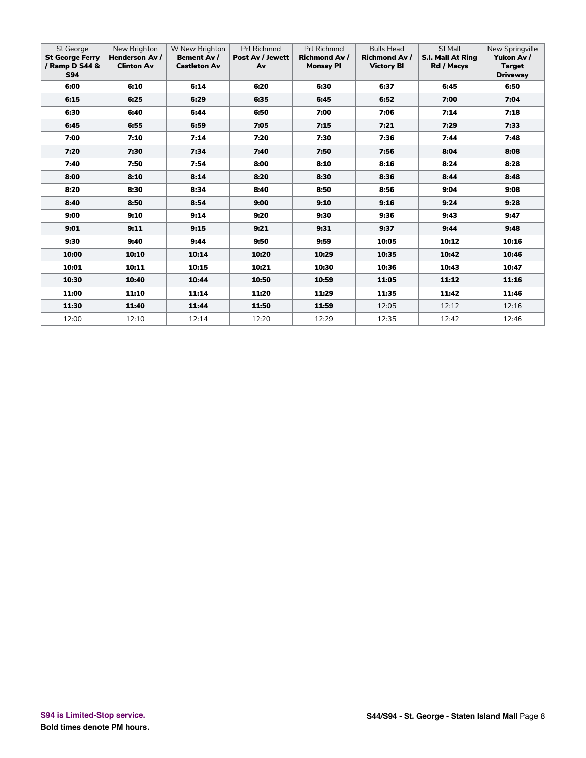| St George<br><b>St George Ferry</b><br>/ Ramp D S44 &<br><b>S94</b> | New Brighton<br>Henderson Av /<br><b>Clinton Av</b> | W New Brighton<br>Bement Av /<br><b>Castleton Av</b> | <b>Prt Richmnd</b><br>Post Av / Jewett<br>Av | <b>Prt Richmnd</b><br><b>Richmond Av /</b><br><b>Monsey PI</b> | <b>Bulls Head</b><br><b>Richmond Av /</b><br><b>Victory BI</b> | SI Mall<br><b>S.I. Mall At Ring</b><br>Rd / Macys | New Springville<br>Yukon Av /<br><b>Target</b><br><b>Driveway</b> |
|---------------------------------------------------------------------|-----------------------------------------------------|------------------------------------------------------|----------------------------------------------|----------------------------------------------------------------|----------------------------------------------------------------|---------------------------------------------------|-------------------------------------------------------------------|
| 6:00                                                                | 6:10                                                | 6:14                                                 | 6:20                                         | 6:30                                                           | 6:37                                                           | 6:45                                              | 6:50                                                              |
| 6:15                                                                | 6:25                                                | 6:29                                                 | 6:35                                         | 6:45                                                           | 6:52                                                           | 7:00                                              | 7:04                                                              |
| 6:30                                                                | 6:40                                                | 6:44                                                 | 6:50                                         | 7:00                                                           | 7:06                                                           | 7:14                                              | 7:18                                                              |
| 6:45                                                                | 6:55                                                | 6:59                                                 | 7:05                                         | 7:15                                                           | 7:21                                                           | 7:29                                              | 7:33                                                              |
| 7:00                                                                | 7:10                                                | 7:14                                                 | 7:20                                         | 7:30                                                           | 7:36                                                           | 7:44                                              | 7:48                                                              |
| 7:20                                                                | 7:30                                                | 7:34                                                 | 7:40                                         | 7:50                                                           | 7:56                                                           | 8:04                                              | 8:08                                                              |
| 7:40                                                                | 7:50                                                | 7:54                                                 | 8:00                                         | 8:10                                                           | 8:16                                                           | 8:24                                              | 8:28                                                              |
| 8:00                                                                | 8:10                                                | 8:14                                                 | 8:20                                         | 8:30                                                           | 8:36                                                           | 8:44                                              | 8:48                                                              |
| 8:20                                                                | 8:30                                                | 8:34                                                 | 8:40                                         | 8:50                                                           | 8:56                                                           | 9:04                                              | 9:08                                                              |
| 8:40                                                                | 8:50                                                | 8:54                                                 | 9:00                                         | 9:10                                                           | 9:16                                                           | 9:24                                              | 9:28                                                              |
| 9:00                                                                | 9:10                                                | 9:14                                                 | 9:20                                         | 9:30                                                           | 9:36                                                           | 9:43                                              | 9:47                                                              |
| 9:01                                                                | 9:11                                                | 9:15                                                 | 9:21                                         | 9:31                                                           | 9:37                                                           | 9:44                                              | 9:48                                                              |
| 9:30                                                                | 9:40                                                | 9:44                                                 | 9:50                                         | 9:59                                                           | 10:05                                                          | 10:12                                             | 10:16                                                             |
| 10:00                                                               | 10:10                                               | 10:14                                                | 10:20                                        | 10:29                                                          | 10:35                                                          | 10:42                                             | 10:46                                                             |
| 10:01                                                               | 10:11                                               | 10:15                                                | 10:21                                        | 10:30                                                          | 10:36                                                          | 10:43                                             | 10:47                                                             |
| 10:30                                                               | 10:40                                               | 10:44                                                | 10:50                                        | 10:59                                                          | 11:05                                                          | 11:12                                             | 11:16                                                             |
| 11:00                                                               | 11:10                                               | 11:14                                                | 11:20                                        | 11:29                                                          | 11:35                                                          | 11:42                                             | 11:46                                                             |
| 11:30                                                               | 11:40                                               | 11:44                                                | 11:50                                        | 11:59                                                          | 12:05                                                          | 12:12                                             | 12:16                                                             |
| 12:00                                                               | 12:10                                               | 12:14                                                | 12:20                                        | 12:29                                                          | 12:35                                                          | 12:42                                             | 12:46                                                             |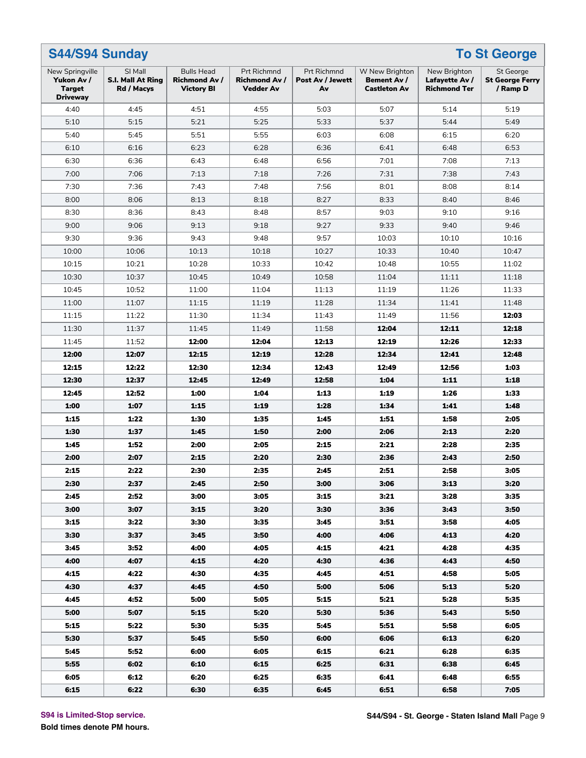| Prt Richmnd<br><b>Prt Richmnd</b><br>SI Mall<br><b>Bulls Head</b><br>W New Brighton<br>New Brighton<br>New Springville<br><b>St George</b><br>Yukon Av /<br><b>S.I. Mall At Ring</b><br><b>Richmond Av /</b><br><b>Richmond Av /</b><br>Post Av / Jewett<br>Bement Av /<br>Lafayette Av /<br><b>St George Ferry</b><br><b>Target</b><br><b>Victory BI</b><br><b>Vedder Av</b><br><b>Castleton Av</b><br><b>Richmond Ter</b><br>/ Ramp D<br>Rd / Macys<br>Av<br><b>Driveway</b><br>4:51<br>5:03<br>5:07<br>4:40<br>4:45<br>4:55<br>5:14<br>5:19<br>5:21<br>5:37<br>5:10<br>5:15<br>5:25<br>5:33<br>5:44<br>5:49<br>5:40<br>5:45<br>5:51<br>5:55<br>6:03<br>6:08<br>6:20<br>6:15<br>6:23<br>6:28<br>6:36<br>6:41<br>6:53<br>6:10<br>6:16<br>6:48<br>6:30<br>6:36<br>6:43<br>6:56<br>7:01<br>7:08<br>7:13<br>6:48<br>7:00<br>7:06<br>7:13<br>7:26<br>7:31<br>7:38<br>7:43<br>7:18<br>7:30<br>7:36<br>7:43<br>7:56<br>8:01<br>7:48<br>8:08<br>8:14<br>8:00<br>8:06<br>8:27<br>8:33<br>8:13<br>8:18<br>8:40<br>8:46<br>8:30<br>8:36<br>9:03<br>8:43<br>8:48<br>8:57<br>9:10<br>9:16<br>9:00<br>9:06<br>9:13<br>9:33<br>9:18<br>9:27<br>9:40<br>9:46<br>9:30<br>9:36<br>9:43<br>9:48<br>9:57<br>10:03<br>10:10<br>10:16<br>10:00<br>10:27<br>10:33<br>10:06<br>10:13<br>10:18<br>10:40<br>10:47<br>10:15<br>10:21<br>10:28<br>10:33<br>10:48<br>10:55<br>10:42<br>11:02<br>10:30<br>10:37<br>10:58<br>10:45<br>10:49<br>11:04<br>11:11<br>11:18<br>11:26<br>11:33<br>10:45<br>10:52<br>11:00<br>11:04<br>11:13<br>11:19<br>11:00<br>11:07<br>11:28<br>11:34<br>11:41<br>11:15<br>11:19<br>11:48<br>11:22<br>11:30<br>11:34<br>12:03<br>11:15<br>11:43<br>11:49<br>11:56<br>11:30<br>11:37<br>11:58<br>12:11<br>11:45<br>11:49<br>12:04<br>12:18<br>12:13<br>12:26<br>12:33<br>11:45<br>11:52<br>12:00<br>12:04<br>12:19<br>12:00<br>12:19<br>12:28<br>12:34<br>12:41<br>12:48<br>12:07<br>12:15<br>12:15<br>12:22<br>12:30<br>12:34<br>12:43<br>12:49<br>12:56<br>1:03<br>12:30<br>12:37<br>12:49<br>12:58<br>1:04<br>1:11<br>12:45<br>1:18<br>12:52<br>1:00<br>1:19<br>12:45<br>1:04<br>1:13<br>1:26<br>1:33<br>1:00<br>1:07<br>1:19<br>1:34<br>1:15<br>1:28<br>1:41<br>1:48<br>1:15<br>1:22<br>1:30<br>1:35<br>1:51<br>1:45<br>1:58<br>2:05<br>1:30<br>1:37<br>2:00<br>2:06<br>2:20<br>1:45<br>1:50<br>2:13 | S44/S94 Sunday<br><b>To St George</b> |      |      |      |      |      |      |      |  |  |  |  |
|---------------------------------------------------------------------------------------------------------------------------------------------------------------------------------------------------------------------------------------------------------------------------------------------------------------------------------------------------------------------------------------------------------------------------------------------------------------------------------------------------------------------------------------------------------------------------------------------------------------------------------------------------------------------------------------------------------------------------------------------------------------------------------------------------------------------------------------------------------------------------------------------------------------------------------------------------------------------------------------------------------------------------------------------------------------------------------------------------------------------------------------------------------------------------------------------------------------------------------------------------------------------------------------------------------------------------------------------------------------------------------------------------------------------------------------------------------------------------------------------------------------------------------------------------------------------------------------------------------------------------------------------------------------------------------------------------------------------------------------------------------------------------------------------------------------------------------------------------------------------------------------------------------------------------------------------------------------------------------------------------------------------------------------------------------------------------------------------------------------------------------------------------------------------------------------------------------------------------------------------------------------------------------------------------------|---------------------------------------|------|------|------|------|------|------|------|--|--|--|--|
|                                                                                                                                                                                                                                                                                                                                                                                                                                                                                                                                                                                                                                                                                                                                                                                                                                                                                                                                                                                                                                                                                                                                                                                                                                                                                                                                                                                                                                                                                                                                                                                                                                                                                                                                                                                                                                                                                                                                                                                                                                                                                                                                                                                                                                                                                                         |                                       |      |      |      |      |      |      |      |  |  |  |  |
|                                                                                                                                                                                                                                                                                                                                                                                                                                                                                                                                                                                                                                                                                                                                                                                                                                                                                                                                                                                                                                                                                                                                                                                                                                                                                                                                                                                                                                                                                                                                                                                                                                                                                                                                                                                                                                                                                                                                                                                                                                                                                                                                                                                                                                                                                                         |                                       |      |      |      |      |      |      |      |  |  |  |  |
|                                                                                                                                                                                                                                                                                                                                                                                                                                                                                                                                                                                                                                                                                                                                                                                                                                                                                                                                                                                                                                                                                                                                                                                                                                                                                                                                                                                                                                                                                                                                                                                                                                                                                                                                                                                                                                                                                                                                                                                                                                                                                                                                                                                                                                                                                                         |                                       |      |      |      |      |      |      |      |  |  |  |  |
|                                                                                                                                                                                                                                                                                                                                                                                                                                                                                                                                                                                                                                                                                                                                                                                                                                                                                                                                                                                                                                                                                                                                                                                                                                                                                                                                                                                                                                                                                                                                                                                                                                                                                                                                                                                                                                                                                                                                                                                                                                                                                                                                                                                                                                                                                                         |                                       |      |      |      |      |      |      |      |  |  |  |  |
|                                                                                                                                                                                                                                                                                                                                                                                                                                                                                                                                                                                                                                                                                                                                                                                                                                                                                                                                                                                                                                                                                                                                                                                                                                                                                                                                                                                                                                                                                                                                                                                                                                                                                                                                                                                                                                                                                                                                                                                                                                                                                                                                                                                                                                                                                                         |                                       |      |      |      |      |      |      |      |  |  |  |  |
|                                                                                                                                                                                                                                                                                                                                                                                                                                                                                                                                                                                                                                                                                                                                                                                                                                                                                                                                                                                                                                                                                                                                                                                                                                                                                                                                                                                                                                                                                                                                                                                                                                                                                                                                                                                                                                                                                                                                                                                                                                                                                                                                                                                                                                                                                                         |                                       |      |      |      |      |      |      |      |  |  |  |  |
|                                                                                                                                                                                                                                                                                                                                                                                                                                                                                                                                                                                                                                                                                                                                                                                                                                                                                                                                                                                                                                                                                                                                                                                                                                                                                                                                                                                                                                                                                                                                                                                                                                                                                                                                                                                                                                                                                                                                                                                                                                                                                                                                                                                                                                                                                                         |                                       |      |      |      |      |      |      |      |  |  |  |  |
|                                                                                                                                                                                                                                                                                                                                                                                                                                                                                                                                                                                                                                                                                                                                                                                                                                                                                                                                                                                                                                                                                                                                                                                                                                                                                                                                                                                                                                                                                                                                                                                                                                                                                                                                                                                                                                                                                                                                                                                                                                                                                                                                                                                                                                                                                                         |                                       |      |      |      |      |      |      |      |  |  |  |  |
|                                                                                                                                                                                                                                                                                                                                                                                                                                                                                                                                                                                                                                                                                                                                                                                                                                                                                                                                                                                                                                                                                                                                                                                                                                                                                                                                                                                                                                                                                                                                                                                                                                                                                                                                                                                                                                                                                                                                                                                                                                                                                                                                                                                                                                                                                                         |                                       |      |      |      |      |      |      |      |  |  |  |  |
|                                                                                                                                                                                                                                                                                                                                                                                                                                                                                                                                                                                                                                                                                                                                                                                                                                                                                                                                                                                                                                                                                                                                                                                                                                                                                                                                                                                                                                                                                                                                                                                                                                                                                                                                                                                                                                                                                                                                                                                                                                                                                                                                                                                                                                                                                                         |                                       |      |      |      |      |      |      |      |  |  |  |  |
|                                                                                                                                                                                                                                                                                                                                                                                                                                                                                                                                                                                                                                                                                                                                                                                                                                                                                                                                                                                                                                                                                                                                                                                                                                                                                                                                                                                                                                                                                                                                                                                                                                                                                                                                                                                                                                                                                                                                                                                                                                                                                                                                                                                                                                                                                                         |                                       |      |      |      |      |      |      |      |  |  |  |  |
|                                                                                                                                                                                                                                                                                                                                                                                                                                                                                                                                                                                                                                                                                                                                                                                                                                                                                                                                                                                                                                                                                                                                                                                                                                                                                                                                                                                                                                                                                                                                                                                                                                                                                                                                                                                                                                                                                                                                                                                                                                                                                                                                                                                                                                                                                                         |                                       |      |      |      |      |      |      |      |  |  |  |  |
|                                                                                                                                                                                                                                                                                                                                                                                                                                                                                                                                                                                                                                                                                                                                                                                                                                                                                                                                                                                                                                                                                                                                                                                                                                                                                                                                                                                                                                                                                                                                                                                                                                                                                                                                                                                                                                                                                                                                                                                                                                                                                                                                                                                                                                                                                                         |                                       |      |      |      |      |      |      |      |  |  |  |  |
|                                                                                                                                                                                                                                                                                                                                                                                                                                                                                                                                                                                                                                                                                                                                                                                                                                                                                                                                                                                                                                                                                                                                                                                                                                                                                                                                                                                                                                                                                                                                                                                                                                                                                                                                                                                                                                                                                                                                                                                                                                                                                                                                                                                                                                                                                                         |                                       |      |      |      |      |      |      |      |  |  |  |  |
|                                                                                                                                                                                                                                                                                                                                                                                                                                                                                                                                                                                                                                                                                                                                                                                                                                                                                                                                                                                                                                                                                                                                                                                                                                                                                                                                                                                                                                                                                                                                                                                                                                                                                                                                                                                                                                                                                                                                                                                                                                                                                                                                                                                                                                                                                                         |                                       |      |      |      |      |      |      |      |  |  |  |  |
|                                                                                                                                                                                                                                                                                                                                                                                                                                                                                                                                                                                                                                                                                                                                                                                                                                                                                                                                                                                                                                                                                                                                                                                                                                                                                                                                                                                                                                                                                                                                                                                                                                                                                                                                                                                                                                                                                                                                                                                                                                                                                                                                                                                                                                                                                                         |                                       |      |      |      |      |      |      |      |  |  |  |  |
|                                                                                                                                                                                                                                                                                                                                                                                                                                                                                                                                                                                                                                                                                                                                                                                                                                                                                                                                                                                                                                                                                                                                                                                                                                                                                                                                                                                                                                                                                                                                                                                                                                                                                                                                                                                                                                                                                                                                                                                                                                                                                                                                                                                                                                                                                                         |                                       |      |      |      |      |      |      |      |  |  |  |  |
|                                                                                                                                                                                                                                                                                                                                                                                                                                                                                                                                                                                                                                                                                                                                                                                                                                                                                                                                                                                                                                                                                                                                                                                                                                                                                                                                                                                                                                                                                                                                                                                                                                                                                                                                                                                                                                                                                                                                                                                                                                                                                                                                                                                                                                                                                                         |                                       |      |      |      |      |      |      |      |  |  |  |  |
|                                                                                                                                                                                                                                                                                                                                                                                                                                                                                                                                                                                                                                                                                                                                                                                                                                                                                                                                                                                                                                                                                                                                                                                                                                                                                                                                                                                                                                                                                                                                                                                                                                                                                                                                                                                                                                                                                                                                                                                                                                                                                                                                                                                                                                                                                                         |                                       |      |      |      |      |      |      |      |  |  |  |  |
|                                                                                                                                                                                                                                                                                                                                                                                                                                                                                                                                                                                                                                                                                                                                                                                                                                                                                                                                                                                                                                                                                                                                                                                                                                                                                                                                                                                                                                                                                                                                                                                                                                                                                                                                                                                                                                                                                                                                                                                                                                                                                                                                                                                                                                                                                                         |                                       |      |      |      |      |      |      |      |  |  |  |  |
|                                                                                                                                                                                                                                                                                                                                                                                                                                                                                                                                                                                                                                                                                                                                                                                                                                                                                                                                                                                                                                                                                                                                                                                                                                                                                                                                                                                                                                                                                                                                                                                                                                                                                                                                                                                                                                                                                                                                                                                                                                                                                                                                                                                                                                                                                                         |                                       |      |      |      |      |      |      |      |  |  |  |  |
|                                                                                                                                                                                                                                                                                                                                                                                                                                                                                                                                                                                                                                                                                                                                                                                                                                                                                                                                                                                                                                                                                                                                                                                                                                                                                                                                                                                                                                                                                                                                                                                                                                                                                                                                                                                                                                                                                                                                                                                                                                                                                                                                                                                                                                                                                                         |                                       |      |      |      |      |      |      |      |  |  |  |  |
|                                                                                                                                                                                                                                                                                                                                                                                                                                                                                                                                                                                                                                                                                                                                                                                                                                                                                                                                                                                                                                                                                                                                                                                                                                                                                                                                                                                                                                                                                                                                                                                                                                                                                                                                                                                                                                                                                                                                                                                                                                                                                                                                                                                                                                                                                                         |                                       |      |      |      |      |      |      |      |  |  |  |  |
|                                                                                                                                                                                                                                                                                                                                                                                                                                                                                                                                                                                                                                                                                                                                                                                                                                                                                                                                                                                                                                                                                                                                                                                                                                                                                                                                                                                                                                                                                                                                                                                                                                                                                                                                                                                                                                                                                                                                                                                                                                                                                                                                                                                                                                                                                                         |                                       |      |      |      |      |      |      |      |  |  |  |  |
|                                                                                                                                                                                                                                                                                                                                                                                                                                                                                                                                                                                                                                                                                                                                                                                                                                                                                                                                                                                                                                                                                                                                                                                                                                                                                                                                                                                                                                                                                                                                                                                                                                                                                                                                                                                                                                                                                                                                                                                                                                                                                                                                                                                                                                                                                                         |                                       |      |      |      |      |      |      |      |  |  |  |  |
|                                                                                                                                                                                                                                                                                                                                                                                                                                                                                                                                                                                                                                                                                                                                                                                                                                                                                                                                                                                                                                                                                                                                                                                                                                                                                                                                                                                                                                                                                                                                                                                                                                                                                                                                                                                                                                                                                                                                                                                                                                                                                                                                                                                                                                                                                                         |                                       |      |      |      |      |      |      |      |  |  |  |  |
|                                                                                                                                                                                                                                                                                                                                                                                                                                                                                                                                                                                                                                                                                                                                                                                                                                                                                                                                                                                                                                                                                                                                                                                                                                                                                                                                                                                                                                                                                                                                                                                                                                                                                                                                                                                                                                                                                                                                                                                                                                                                                                                                                                                                                                                                                                         |                                       |      |      |      |      |      |      |      |  |  |  |  |
|                                                                                                                                                                                                                                                                                                                                                                                                                                                                                                                                                                                                                                                                                                                                                                                                                                                                                                                                                                                                                                                                                                                                                                                                                                                                                                                                                                                                                                                                                                                                                                                                                                                                                                                                                                                                                                                                                                                                                                                                                                                                                                                                                                                                                                                                                                         | 1:45                                  | 1:52 | 2:00 | 2:05 | 2:15 | 2:21 | 2:28 | 2:35 |  |  |  |  |
| 2:00<br>2:07<br>2:15<br>2:20<br>2:30<br>2:36<br>2:50<br>2:43                                                                                                                                                                                                                                                                                                                                                                                                                                                                                                                                                                                                                                                                                                                                                                                                                                                                                                                                                                                                                                                                                                                                                                                                                                                                                                                                                                                                                                                                                                                                                                                                                                                                                                                                                                                                                                                                                                                                                                                                                                                                                                                                                                                                                                            |                                       |      |      |      |      |      |      |      |  |  |  |  |
| 2:15<br>2:22<br>2:30<br>2:35<br>2:45<br>2:51<br>2:58<br>3:05                                                                                                                                                                                                                                                                                                                                                                                                                                                                                                                                                                                                                                                                                                                                                                                                                                                                                                                                                                                                                                                                                                                                                                                                                                                                                                                                                                                                                                                                                                                                                                                                                                                                                                                                                                                                                                                                                                                                                                                                                                                                                                                                                                                                                                            |                                       |      |      |      |      |      |      |      |  |  |  |  |
| 2:30<br>2:37<br>2:50<br>3:00<br>3:06<br>3:13<br>3:20<br>2:45                                                                                                                                                                                                                                                                                                                                                                                                                                                                                                                                                                                                                                                                                                                                                                                                                                                                                                                                                                                                                                                                                                                                                                                                                                                                                                                                                                                                                                                                                                                                                                                                                                                                                                                                                                                                                                                                                                                                                                                                                                                                                                                                                                                                                                            |                                       |      |      |      |      |      |      |      |  |  |  |  |
| 2:45<br>2:52<br>3:00<br>3:05<br>3:15<br>3:21<br>3:28<br>3:35                                                                                                                                                                                                                                                                                                                                                                                                                                                                                                                                                                                                                                                                                                                                                                                                                                                                                                                                                                                                                                                                                                                                                                                                                                                                                                                                                                                                                                                                                                                                                                                                                                                                                                                                                                                                                                                                                                                                                                                                                                                                                                                                                                                                                                            |                                       |      |      |      |      |      |      |      |  |  |  |  |
| 3:00<br>3:07<br>3:15<br>3:20<br>3:30<br>3:36<br>3:43<br>3:50                                                                                                                                                                                                                                                                                                                                                                                                                                                                                                                                                                                                                                                                                                                                                                                                                                                                                                                                                                                                                                                                                                                                                                                                                                                                                                                                                                                                                                                                                                                                                                                                                                                                                                                                                                                                                                                                                                                                                                                                                                                                                                                                                                                                                                            |                                       |      |      |      |      |      |      |      |  |  |  |  |
| 3:15<br>3:58<br>3:22<br>3:30<br>3:35<br>3:45<br>3:51<br>4:05                                                                                                                                                                                                                                                                                                                                                                                                                                                                                                                                                                                                                                                                                                                                                                                                                                                                                                                                                                                                                                                                                                                                                                                                                                                                                                                                                                                                                                                                                                                                                                                                                                                                                                                                                                                                                                                                                                                                                                                                                                                                                                                                                                                                                                            |                                       |      |      |      |      |      |      |      |  |  |  |  |
| 3:30<br>3:37<br>3:45<br>3:50<br>4:00<br>4:06<br>4:13<br>4:20                                                                                                                                                                                                                                                                                                                                                                                                                                                                                                                                                                                                                                                                                                                                                                                                                                                                                                                                                                                                                                                                                                                                                                                                                                                                                                                                                                                                                                                                                                                                                                                                                                                                                                                                                                                                                                                                                                                                                                                                                                                                                                                                                                                                                                            |                                       |      |      |      |      |      |      |      |  |  |  |  |
| 3:45<br>3:52<br>4:00<br>4:05<br>4:15<br>4:21<br>4:28<br>4:35                                                                                                                                                                                                                                                                                                                                                                                                                                                                                                                                                                                                                                                                                                                                                                                                                                                                                                                                                                                                                                                                                                                                                                                                                                                                                                                                                                                                                                                                                                                                                                                                                                                                                                                                                                                                                                                                                                                                                                                                                                                                                                                                                                                                                                            |                                       |      |      |      |      |      |      |      |  |  |  |  |
| 4:00<br>4:07<br>4:15<br>4:20<br>4:30<br>4:36<br>4:43<br>4:50                                                                                                                                                                                                                                                                                                                                                                                                                                                                                                                                                                                                                                                                                                                                                                                                                                                                                                                                                                                                                                                                                                                                                                                                                                                                                                                                                                                                                                                                                                                                                                                                                                                                                                                                                                                                                                                                                                                                                                                                                                                                                                                                                                                                                                            |                                       |      |      |      |      |      |      |      |  |  |  |  |
| 4:15<br>4:22<br>4:30<br>4:45<br>4:51<br>4:58<br>5:05<br>4:35                                                                                                                                                                                                                                                                                                                                                                                                                                                                                                                                                                                                                                                                                                                                                                                                                                                                                                                                                                                                                                                                                                                                                                                                                                                                                                                                                                                                                                                                                                                                                                                                                                                                                                                                                                                                                                                                                                                                                                                                                                                                                                                                                                                                                                            |                                       |      |      |      |      |      |      |      |  |  |  |  |
| 4:30<br>4:37<br>4:45<br>4:50<br>5:00<br>5:06<br>5:13<br>5:20                                                                                                                                                                                                                                                                                                                                                                                                                                                                                                                                                                                                                                                                                                                                                                                                                                                                                                                                                                                                                                                                                                                                                                                                                                                                                                                                                                                                                                                                                                                                                                                                                                                                                                                                                                                                                                                                                                                                                                                                                                                                                                                                                                                                                                            |                                       |      |      |      |      |      |      |      |  |  |  |  |
| 4:45<br>4:52<br>5:00<br>5:05<br>5:15<br>5:21<br>5:28<br>5:35                                                                                                                                                                                                                                                                                                                                                                                                                                                                                                                                                                                                                                                                                                                                                                                                                                                                                                                                                                                                                                                                                                                                                                                                                                                                                                                                                                                                                                                                                                                                                                                                                                                                                                                                                                                                                                                                                                                                                                                                                                                                                                                                                                                                                                            |                                       |      |      |      |      |      |      |      |  |  |  |  |
| 5:00<br>5:07<br>5:15<br>5:20<br>5:30<br>5:36<br>5:43<br>5:50                                                                                                                                                                                                                                                                                                                                                                                                                                                                                                                                                                                                                                                                                                                                                                                                                                                                                                                                                                                                                                                                                                                                                                                                                                                                                                                                                                                                                                                                                                                                                                                                                                                                                                                                                                                                                                                                                                                                                                                                                                                                                                                                                                                                                                            |                                       |      |      |      |      |      |      |      |  |  |  |  |
| 5:15<br>5:30<br>5:35<br>5:51<br>5:58<br>6:05<br>5:22<br>5:45                                                                                                                                                                                                                                                                                                                                                                                                                                                                                                                                                                                                                                                                                                                                                                                                                                                                                                                                                                                                                                                                                                                                                                                                                                                                                                                                                                                                                                                                                                                                                                                                                                                                                                                                                                                                                                                                                                                                                                                                                                                                                                                                                                                                                                            |                                       |      |      |      |      |      |      |      |  |  |  |  |
| 5:30<br>5:37<br>5:45<br>5:50<br>6:00<br>6:06<br>6:13<br>6:20                                                                                                                                                                                                                                                                                                                                                                                                                                                                                                                                                                                                                                                                                                                                                                                                                                                                                                                                                                                                                                                                                                                                                                                                                                                                                                                                                                                                                                                                                                                                                                                                                                                                                                                                                                                                                                                                                                                                                                                                                                                                                                                                                                                                                                            |                                       |      |      |      |      |      |      |      |  |  |  |  |
| 5:45<br>5:52<br>6:00<br>6:05<br>6:15<br>6:21<br>6:28<br>6:35                                                                                                                                                                                                                                                                                                                                                                                                                                                                                                                                                                                                                                                                                                                                                                                                                                                                                                                                                                                                                                                                                                                                                                                                                                                                                                                                                                                                                                                                                                                                                                                                                                                                                                                                                                                                                                                                                                                                                                                                                                                                                                                                                                                                                                            |                                       |      |      |      |      |      |      |      |  |  |  |  |
| 5:55<br>6:02<br>6:10<br>6:15<br>6:25<br>6:31<br>6:38<br>6:45                                                                                                                                                                                                                                                                                                                                                                                                                                                                                                                                                                                                                                                                                                                                                                                                                                                                                                                                                                                                                                                                                                                                                                                                                                                                                                                                                                                                                                                                                                                                                                                                                                                                                                                                                                                                                                                                                                                                                                                                                                                                                                                                                                                                                                            |                                       |      |      |      |      |      |      |      |  |  |  |  |
| 6:05<br>6:12<br>6:20<br>6:25<br>6:35<br>6:48<br>6:55<br>6:41                                                                                                                                                                                                                                                                                                                                                                                                                                                                                                                                                                                                                                                                                                                                                                                                                                                                                                                                                                                                                                                                                                                                                                                                                                                                                                                                                                                                                                                                                                                                                                                                                                                                                                                                                                                                                                                                                                                                                                                                                                                                                                                                                                                                                                            |                                       |      |      |      |      |      |      |      |  |  |  |  |
| 6:15<br>6:22<br>6:30<br>6:35<br>6:45<br>6:51<br>6:58<br>7:05                                                                                                                                                                                                                                                                                                                                                                                                                                                                                                                                                                                                                                                                                                                                                                                                                                                                                                                                                                                                                                                                                                                                                                                                                                                                                                                                                                                                                                                                                                                                                                                                                                                                                                                                                                                                                                                                                                                                                                                                                                                                                                                                                                                                                                            |                                       |      |      |      |      |      |      |      |  |  |  |  |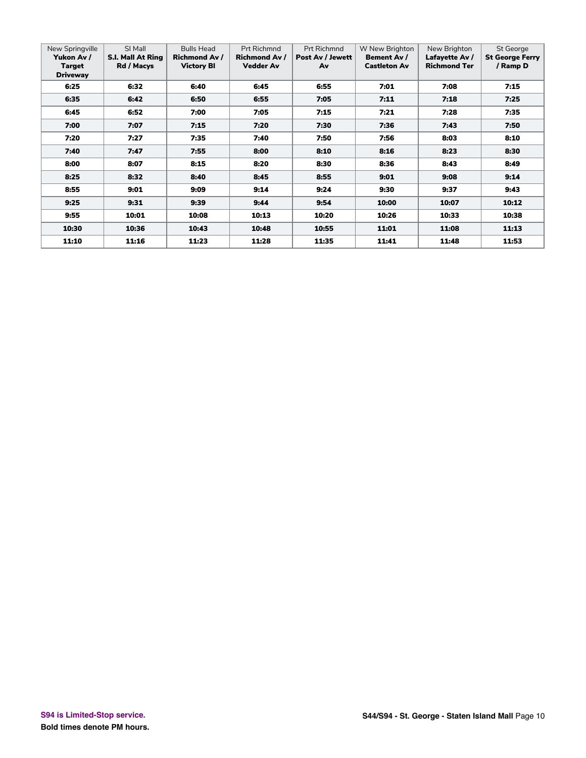| New Springville<br>Yukon Av /<br>Target<br><b>Driveway</b> | SI Mall<br><b>S.I. Mall At Ring</b><br>Rd / Macys | <b>Bulls Head</b><br><b>Richmond Av /</b><br><b>Victory BI</b> | <b>Prt Richmnd</b><br><b>Richmond Av /</b><br><b>Vedder Av</b> | <b>Prt Richmnd</b><br>Post Av / Jewett<br>Av | W New Brighton<br><b>Bement Av /</b><br><b>Castleton Av</b> | New Brighton<br>Lafayette Av /<br><b>Richmond Ter</b> | St George<br><b>St George Ferry</b><br>/ Ramp D |
|------------------------------------------------------------|---------------------------------------------------|----------------------------------------------------------------|----------------------------------------------------------------|----------------------------------------------|-------------------------------------------------------------|-------------------------------------------------------|-------------------------------------------------|
| 6:25                                                       | 6:32                                              | 6:40                                                           | 6:45                                                           | 6:55                                         | 7:01                                                        | 7:08                                                  | 7:15                                            |
| 6:35                                                       | 6:42                                              | 6:50                                                           | 6:55                                                           | 7:05                                         | 7:11                                                        | 7:18                                                  | 7:25                                            |
| 6:45                                                       | 6:52                                              | 7:00                                                           | 7:05                                                           | 7:15                                         | 7:21                                                        | 7:28                                                  | 7:35                                            |
| 7:00                                                       | 7:07                                              | 7:15                                                           | 7:20                                                           | 7:30                                         | 7:36                                                        | 7:43                                                  | 7:50                                            |
| 7:20                                                       | 7:27                                              | 7:35                                                           | 7:40                                                           | 7:50                                         | 7:56                                                        | 8:03                                                  | 8:10                                            |
| 7:40                                                       | 7:47                                              | 7:55                                                           | 8:00                                                           | 8:10                                         | 8:16                                                        | 8:23                                                  | 8:30                                            |
| 8:00                                                       | 8:07                                              | 8:15                                                           | 8:20                                                           | 8:30                                         | 8:36                                                        | 8:43                                                  | 8:49                                            |
| 8:25                                                       | 8:32                                              | 8:40                                                           | 8:45                                                           | 8:55                                         | 9:01                                                        | 9:08                                                  | 9:14                                            |
| 8:55                                                       | 9:01                                              | 9:09                                                           | 9:14                                                           | 9:24                                         | 9:30                                                        | 9:37                                                  | 9:43                                            |
| 9:25                                                       | 9:31                                              | 9:39                                                           | 9:44                                                           | 9:54                                         | 10:00                                                       | 10:07                                                 | 10:12                                           |
| 9:55                                                       | 10:01                                             | 10:08                                                          | 10:13                                                          | 10:20                                        | 10:26                                                       | 10:33                                                 | 10:38                                           |
| 10:30                                                      | 10:36                                             | 10:43                                                          | 10:48                                                          | 10:55                                        | 11:01                                                       | 11:08                                                 | 11:13                                           |
| 11:10                                                      | 11:16                                             | 11:23                                                          | 11:28                                                          | 11:35                                        | 11:41                                                       | 11:48                                                 | 11:53                                           |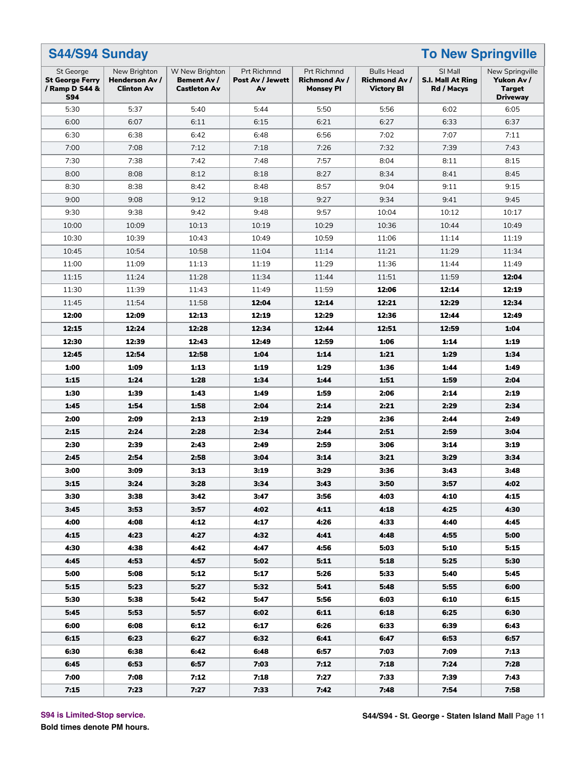| <b>To New Springville</b><br>S44/S94 Sunday                         |                                                     |                                                             |                                       |                                                         |                                                                |                                            |                                                                   |  |  |  |
|---------------------------------------------------------------------|-----------------------------------------------------|-------------------------------------------------------------|---------------------------------------|---------------------------------------------------------|----------------------------------------------------------------|--------------------------------------------|-------------------------------------------------------------------|--|--|--|
| St George<br><b>St George Ferry</b><br>/ Ramp D S44 &<br><b>S94</b> | New Brighton<br>Henderson Av /<br><b>Clinton Av</b> | W New Brighton<br><b>Bement Av /</b><br><b>Castleton Av</b> | Prt Richmnd<br>Post Av / Jewett<br>Av | Prt Richmnd<br><b>Richmond Av /</b><br><b>Monsey PI</b> | <b>Bulls Head</b><br><b>Richmond Av /</b><br><b>Victory BI</b> | SI Mall<br>S.I. Mall At Ring<br>Rd / Macys | New Springville<br>Yukon Av /<br><b>Target</b><br><b>Driveway</b> |  |  |  |
| 5:30                                                                | 5:37                                                | 5:40                                                        | 5:44                                  | 5:50                                                    | 5:56                                                           | 6:02                                       | 6:05                                                              |  |  |  |
| 6:00                                                                | 6:07                                                | 6:11                                                        | 6:15                                  | 6:21                                                    | 6:27                                                           | 6:33                                       | 6:37                                                              |  |  |  |
| 6:30                                                                | 6:38                                                | 6:42                                                        | 6:48                                  | 6:56                                                    | 7:02                                                           | 7:07                                       | 7:11                                                              |  |  |  |
| 7:00                                                                | 7:08                                                | 7:12                                                        | 7:18                                  | 7:26                                                    | 7:32                                                           | 7:39                                       | 7:43                                                              |  |  |  |
| 7:30                                                                | 7:38                                                | 7:42                                                        | 7:48                                  | 7:57                                                    | 8:04                                                           | 8:11                                       | 8:15                                                              |  |  |  |
| 8:00                                                                | 8:08                                                | 8:12                                                        | 8:18                                  | 8:27                                                    | 8:34                                                           | 8:41                                       | 8:45                                                              |  |  |  |
| 8:30                                                                | 8:38                                                | 8:42                                                        | 8:48                                  | 8:57                                                    | 9:04                                                           | 9:11                                       | 9:15                                                              |  |  |  |
| 9:00                                                                | 9:08                                                | 9:12                                                        | 9:18                                  | 9:27                                                    | 9:34                                                           | 9:41                                       | 9:45                                                              |  |  |  |
| 9:30                                                                | 9:38                                                | 9:42                                                        | 9:48                                  | 9:57                                                    | 10:04                                                          | 10:12                                      | 10:17                                                             |  |  |  |
| 10:00                                                               | 10:09                                               | 10:13                                                       | 10:19                                 | 10:29                                                   | 10:36                                                          | 10:44                                      | 10:49                                                             |  |  |  |
| 10:30                                                               | 10:39                                               | 10:43                                                       | 10:49                                 | 10:59                                                   | 11:06                                                          | 11:14                                      | 11:19                                                             |  |  |  |
| 10:45                                                               | 10:54                                               | 10:58                                                       | 11:04                                 | 11:14                                                   | 11:21                                                          | 11:29                                      | 11:34                                                             |  |  |  |
| 11:00                                                               | 11:09                                               | 11:13                                                       | 11:19                                 | 11:29                                                   | 11:36                                                          | 11:44                                      | 11:49                                                             |  |  |  |
| 11:15                                                               | 11:24                                               | 11:28                                                       | 11:34                                 | 11:44                                                   | 11:51                                                          | 11:59                                      | 12:04                                                             |  |  |  |
| 11:30                                                               | 11:39                                               | 11:43                                                       | 11:49                                 | 11:59                                                   | 12:06                                                          | 12:14                                      | 12:19                                                             |  |  |  |
| 11:45                                                               | 11:54                                               | 11:58                                                       | 12:04                                 | 12:14                                                   | 12:21                                                          | 12:29                                      | 12:34                                                             |  |  |  |
| 12:00                                                               | 12:09                                               | 12:13                                                       | 12:19                                 | 12:29                                                   | 12:36                                                          | 12:44                                      | 12:49                                                             |  |  |  |
| 12:15                                                               | 12:24                                               | 12:28                                                       | 12:34                                 | 12:44                                                   | 12:51                                                          | 12:59                                      | 1:04                                                              |  |  |  |
| 12:30                                                               | 12:39                                               | 12:43                                                       | 12:49                                 | 12:59                                                   | 1:06                                                           | 1:14                                       | 1:19                                                              |  |  |  |
| 12:45                                                               | 12:54                                               | 12:58                                                       | 1:04                                  | 1:14                                                    | 1:21                                                           | 1:29                                       | 1:34                                                              |  |  |  |
| 1:00                                                                | 1:09                                                | 1:13                                                        | 1:19                                  | 1:29                                                    | 1:36                                                           | 1:44                                       | 1:49                                                              |  |  |  |
| 1:15                                                                | 1:24                                                | 1:28                                                        | 1:34                                  | 1:44                                                    | 1:51                                                           | 1:59                                       | 2:04                                                              |  |  |  |
| 1:30                                                                | 1:39                                                | 1:43                                                        | 1:49                                  | 1:59                                                    | 2:06                                                           | 2:14                                       | 2:19                                                              |  |  |  |
| 1:45                                                                | 1:54                                                | 1:58                                                        | 2:04                                  | 2:14                                                    | 2:21                                                           | 2:29                                       | 2:34                                                              |  |  |  |
| 2:00                                                                | 2:09                                                | 2:13                                                        | 2:19                                  | 2:29                                                    | 2:36                                                           | 2:44                                       | 2:49                                                              |  |  |  |
| 2:15                                                                | 2:24                                                | 2:28                                                        | 2:34                                  | 2:44                                                    | 2:51                                                           | 2:59                                       | 3:04                                                              |  |  |  |
| 2:30                                                                | 2:39                                                | 2:43                                                        | 2:49                                  | 2:59                                                    | 3:06                                                           | 3:14                                       | 3:19                                                              |  |  |  |
| 2:45                                                                | 2:54                                                | 2:58                                                        | 3:04                                  | 3:14                                                    | 3:21                                                           | 3:29                                       | 3:34                                                              |  |  |  |
| 3:00                                                                | 3:09                                                | 3:13                                                        | 3:19                                  | 3:29                                                    | 3:36                                                           | 3:43                                       | 3:48                                                              |  |  |  |
| 3:15                                                                | 3:24                                                | 3:28                                                        | 3:34                                  | 3:43                                                    | 3:50                                                           | 3:57                                       | 4:02                                                              |  |  |  |
| 3:30                                                                | 3:38                                                | 3:42                                                        | 3:47                                  | 3:56                                                    | 4:03                                                           | 4:10                                       | 4:15                                                              |  |  |  |
| 3:45                                                                | 3:53                                                | 3:57                                                        | 4:02                                  | 4:11                                                    | 4:18                                                           | 4:25                                       | 4:30                                                              |  |  |  |
| 4:00                                                                | 4:08                                                | 4:12                                                        | 4:17                                  | 4:26                                                    | 4:33                                                           | 4:40                                       | 4:45                                                              |  |  |  |
| 4:15                                                                | 4:23                                                | 4:27                                                        | 4:32                                  | 4:41                                                    | 4:48                                                           | 4:55                                       | 5:00                                                              |  |  |  |
| 4:30                                                                | 4:38                                                | 4:42                                                        | 4:47                                  | 4:56                                                    | 5:03                                                           | 5:10                                       | 5:15                                                              |  |  |  |
| 4:45                                                                | 4:53                                                | 4:57                                                        | 5:02                                  | 5:11                                                    | 5:18                                                           | 5:25                                       | 5:30                                                              |  |  |  |
| 5:00                                                                | 5:08                                                | 5:12                                                        | 5:17                                  | 5:26                                                    | 5:33                                                           | 5:40                                       | 5:45                                                              |  |  |  |
| 5:15                                                                | 5:23                                                | 5:27                                                        | 5:32                                  | 5:41                                                    | 5:48                                                           | 5:55                                       | 6:00                                                              |  |  |  |
| 5:30                                                                | 5:38                                                | 5:42                                                        | 5:47                                  | 5:56                                                    | 6:03                                                           | 6:10                                       | 6:15                                                              |  |  |  |
| 5:45                                                                | 5:53                                                | 5:57                                                        | 6:02                                  | 6:11                                                    | 6:18                                                           | 6:25                                       | 6:30                                                              |  |  |  |
| 6:00                                                                | 6:08                                                | 6:12                                                        | 6:17                                  | 6:26                                                    | 6:33                                                           | 6:39                                       | 6:43                                                              |  |  |  |
| 6:15                                                                | 6:23                                                | 6:27                                                        | 6:32                                  | 6:41                                                    | 6:47                                                           | 6:53                                       | 6:57                                                              |  |  |  |
| 6:30                                                                | 6:38                                                | 6:42                                                        | 6:48                                  | 6:57                                                    | 7:03                                                           | 7:09                                       | 7:13                                                              |  |  |  |
| 6:45                                                                | 6:53                                                | 6:57                                                        | 7:03                                  | 7:12                                                    | 7:18                                                           | 7:24                                       | 7:28                                                              |  |  |  |
| 7:00                                                                | 7:08                                                | 7:12                                                        | 7:18                                  | 7:27                                                    | 7:33                                                           | 7:39                                       | 7:43                                                              |  |  |  |
| 7:15                                                                | 7:23                                                | 7:27                                                        | 7:33                                  | 7:42                                                    | 7:48                                                           | 7:54                                       | 7:58                                                              |  |  |  |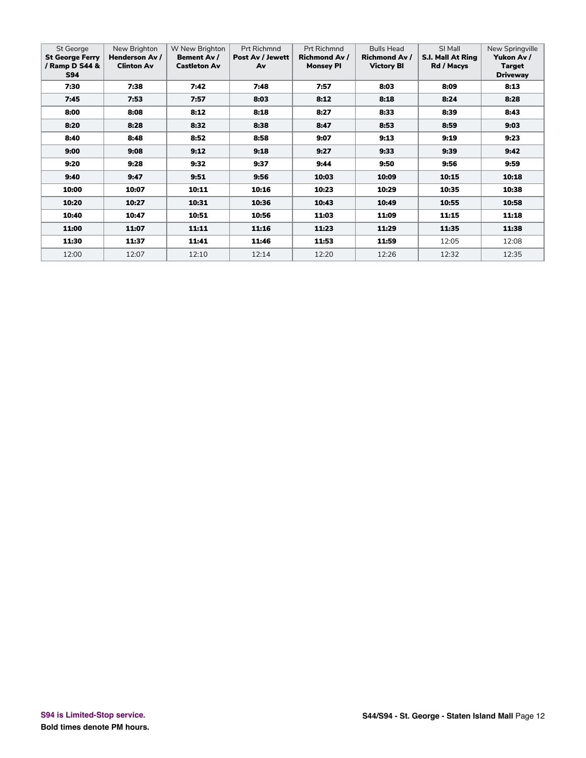| St George<br><b>St George Ferry</b><br>/ Ramp D S44 &<br><b>S94</b> | New Brighton<br>Henderson Av /<br><b>Clinton Av</b> | W New Brighton<br>Bement Av /<br><b>Castleton Av</b> | <b>Prt Richmnd</b><br>Post Av / Jewett<br>Av | <b>Prt Richmnd</b><br><b>Richmond Av /</b><br><b>Monsey PI</b> | <b>Bulls Head</b><br><b>Richmond Av /</b><br><b>Victory BI</b> | SI Mall<br><b>S.I. Mall At Ring</b><br>Rd / Macys | New Springville<br>Yukon Av /<br>Target<br><b>Driveway</b> |
|---------------------------------------------------------------------|-----------------------------------------------------|------------------------------------------------------|----------------------------------------------|----------------------------------------------------------------|----------------------------------------------------------------|---------------------------------------------------|------------------------------------------------------------|
| 7:30                                                                | 7:38                                                | 7:42                                                 | 7:48                                         | 7:57                                                           | 8:03                                                           | 8:09                                              | 8:13                                                       |
| 7:45                                                                | 7:53                                                | 7:57                                                 | 8:03                                         | 8:12                                                           | 8:18                                                           | 8:24                                              | 8:28                                                       |
| 8:00                                                                | 8:08                                                | 8:12                                                 | 8:18                                         | 8:27                                                           | 8:33                                                           | 8:39                                              | 8:43                                                       |
| 8:20                                                                | 8:28                                                | 8:32                                                 | 8:38                                         | 8:47                                                           | 8:53                                                           | 8:59                                              | 9:03                                                       |
| 8:40                                                                | 8:48                                                | 8:52                                                 | 8:58                                         | 9:07                                                           | 9:13                                                           | 9:19                                              | 9:23                                                       |
| 9:00                                                                | 9:08                                                | 9:12                                                 | 9:18                                         | 9:27                                                           | 9:33                                                           | 9:39                                              | 9:42                                                       |
| 9:20                                                                | 9:28                                                | 9:32                                                 | 9:37                                         | 9:44                                                           | 9:50                                                           | 9:56                                              | 9:59                                                       |
| 9:40                                                                | 9:47                                                | 9:51                                                 | 9:56                                         | 10:03                                                          | 10:09                                                          | 10:15                                             | 10:18                                                      |
| 10:00                                                               | 10:07                                               | 10:11                                                | 10:16                                        | 10:23                                                          | 10:29                                                          | 10:35                                             | 10:38                                                      |
| 10:20                                                               | 10:27                                               | 10:31                                                | 10:36                                        | 10:43                                                          | 10:49                                                          | 10:55                                             | 10:58                                                      |
| 10:40                                                               | 10:47                                               | 10:51                                                | 10:56                                        | 11:03                                                          | 11:09                                                          | 11:15                                             | 11:18                                                      |
| 11:00                                                               | 11:07                                               | 11:11                                                | 11:16                                        | 11:23                                                          | 11:29                                                          | 11:35                                             | 11:38                                                      |
| 11:30                                                               | 11:37                                               | 11:41                                                | 11:46                                        | 11:53                                                          | 11:59                                                          | 12:05                                             | 12:08                                                      |
| 12:00                                                               | 12:07                                               | 12:10                                                | 12:14                                        | 12:20                                                          | 12:26                                                          | 12:32                                             | 12:35                                                      |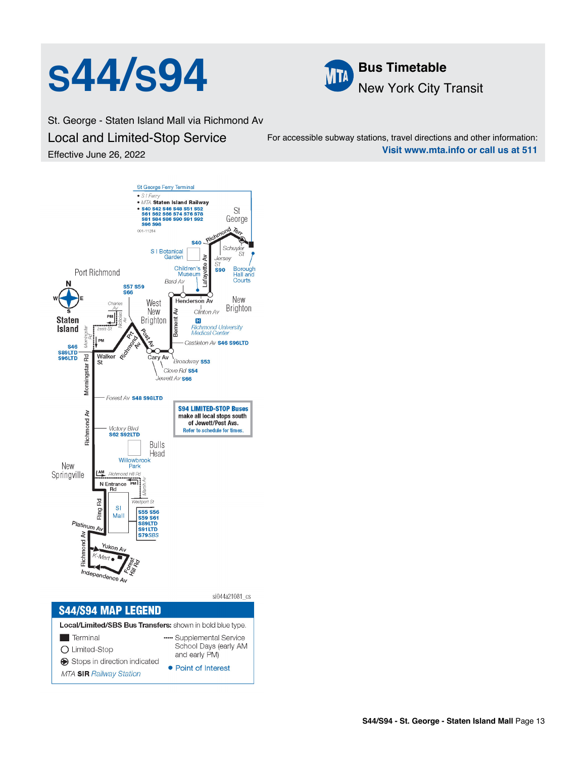



St. George - Staten Island Mall via Richmond Av Local and Limited-Stop Service Effective June 26, 2022

For accessible subway stations, travel directions and other information: **Visit www.mta.info or call us at 511**

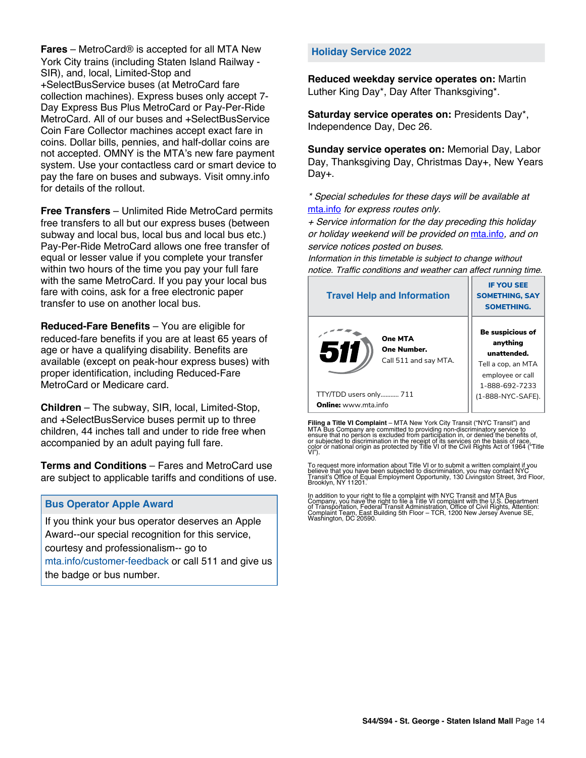**Fares** – MetroCard® is accepted for all MTA New York City trains (including Staten Island Railway - SIR), and, local, Limited-Stop and +SelectBusService buses (at MetroCard fare collection machines). Express buses only accept 7- Day Express Bus Plus MetroCard or Pay-Per-Ride MetroCard. All of our buses and +SelectBusService Coin Fare Collector machines accept exact fare in coins. Dollar bills, pennies, and half-dollar coins are not accepted. OMNY is the MTA's new fare payment system. Use your contactless card or smart device to pay the fare on buses and subways. Visit omny.info for details of the rollout.

**Free Transfers** – Unlimited Ride MetroCard permits free transfers to all but our express buses (between subway and local bus, local bus and local bus etc.) Pay-Per-Ride MetroCard allows one free transfer of equal or lesser value if you complete your transfer within two hours of the time you pay your full fare with the same MetroCard. If you pay your local bus fare with coins, ask for a free electronic paper transfer to use on another local bus.

**Reduced-Fare Benefits** – You are eligible for reduced-fare benefits if you are at least 65 years of age or have a qualifying disability. Benefits are available (except on peak-hour express buses) with proper identification, including Reduced-Fare MetroCard or Medicare card.

**Children** – The subway, SIR, local, Limited-Stop, and +SelectBusService buses permit up to three children, 44 inches tall and under to ride free when accompanied by an adult paying full fare.

**Terms and Conditions** – Fares and MetroCard use are subject to applicable tariffs and conditions of use.

## **Bus Operator Apple Award**

If you think your bus operator deserves an Apple Award--our special recognition for this service, courtesy and professionalism-- go to mta.info/customer-feedback or call 511 and give us the badge or bus number.

### **Holiday Service 2022**

**Reduced weekday service operates on:** Martin Luther King Day\*, Day After Thanksgiving\*.

**Saturday service operates on:** Presidents Day\*, Independence Day, Dec 26.

**Sunday service operates on:** Memorial Day, Labor Day, Thanksgiving Day, Christmas Day+, New Years Day+.

\* Special schedules for these days will be available at [mta.info](https://new.mta.info/) for express routes only.

+ Service information for the day preceding this holiday or holiday weekend will be provided on [mta.info](https://new.mta.info/), and on service notices posted on buses.

Information in this timetable is subject to change without notice. Traffic conditions and weather can affect running time.

| <b>Travel Help and Information</b>                     | <b>IF YOU SEE</b><br><b>SOMETHING, SAY</b><br><b>SOMETHING.</b>                                         |
|--------------------------------------------------------|---------------------------------------------------------------------------------------------------------|
| One MTA<br>511<br>One Number.<br>Call 511 and say MTA. | Be suspicious of<br>anything<br>unattended.<br>Tell a cop, an MTA<br>employee or call<br>1-888-692-7233 |
| TTY/TDD users only 711                                 | (1-888-NYC-SAFE).                                                                                       |
| <b>Online:</b> www.mta.info                            |                                                                                                         |

**Filing a Title VI Complaint** – MTA New York City Transit ("NYC Transit") and<br>MTA Bus Company are committed to providing non-discriminatory service to<br>ensure that no person is excluded from participation in, or denied the

To request more information about Title VI or to submit a written complaint if you believe that you have been subjected to discrimination, you may contact NYC<br>Transit's Office of Equal Employment Opportunity, 130 Livingston Street, 3rd Floor,<br>Brooklyn, NY 11201.

In addition to your right to file a complaint with NYC Transit and MTA Bus<br>Company, you have the right to file a Title VI complaint with the U.S. Department<br>of Transportation, Federal Transit Administration, Office of Civi